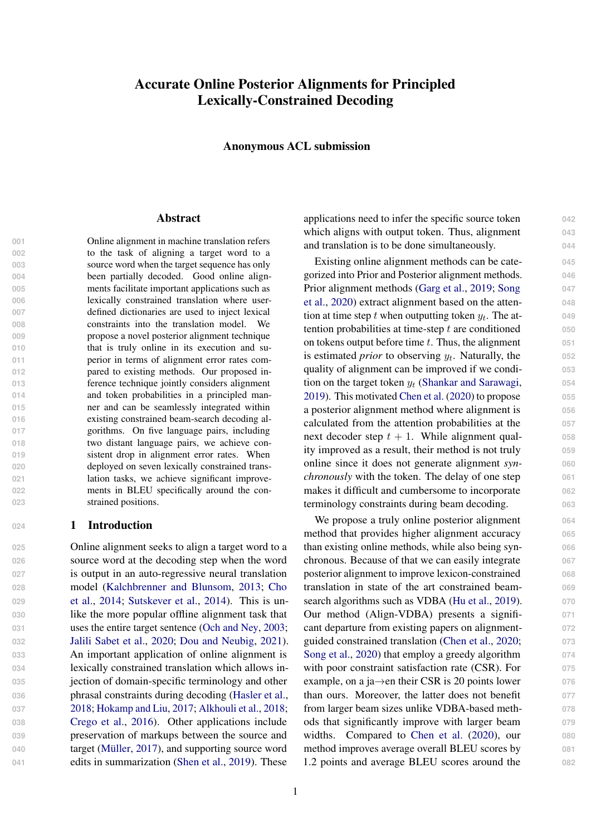# Accurate Online Posterior Alignments for Principled Lexically-Constrained Decoding

Anonymous ACL submission

#### Abstract

 Online alignment in machine translation refers to the task of aligning a target word to a source word when the target sequence has only been partially decoded. Good online align- ments facilitate important applications such as lexically constrained translation where user- defined dictionaries are used to inject lexical constraints into the translation model. We propose a novel posterior alignment technique that is truly online in its execution and su- perior in terms of alignment error rates com- pared to existing methods. Our proposed in- ference technique jointly considers alignment and token probabilities in a principled man- ner and can be seamlessly integrated within existing constrained beam-search decoding al- gorithms. On five language pairs, including two distant language pairs, we achieve con-019 sistent drop in alignment error rates. When deployed on seven lexically constrained trans- lation tasks, we achieve significant improve- ments in BLEU specifically around the con-strained positions.

### 024 1 Introduction

 Online alignment seeks to align a target word to a source word at the decoding step when the word is output in an auto-regressive neural translation [m](#page-8-0)odel [\(Kalchbrenner and Blunsom,](#page-9-0) [2013;](#page-9-0) [Cho](#page-8-0) [et al.,](#page-8-0) [2014;](#page-8-0) [Sutskever et al.,](#page-10-0) [2014\)](#page-10-0). This is un- like the more popular offline alignment task that uses the entire target sentence [\(Och and Ney,](#page-9-1) [2003;](#page-9-1) [Jalili Sabet et al.,](#page-9-2) [2020;](#page-9-2) [Dou and Neubig,](#page-8-1) [2021\)](#page-8-1). An important application of online alignment is lexically constrained translation which allows in- jection of domain-specific terminology and other phrasal constraints during decoding [\(Hasler et al.,](#page-8-2) [2018;](#page-8-2) [Hokamp and Liu,](#page-8-3) [2017;](#page-8-3) [Alkhouli et al.,](#page-8-4) [2018;](#page-8-4) [Crego et al.,](#page-8-5) [2016\)](#page-8-5). Other applications include preservation of markups between the source and target [\(Müller,](#page-9-3) [2017\)](#page-9-3), and supporting source word edits in summarization [\(Shen et al.,](#page-10-1) [2019\)](#page-10-1). These

applications need to infer the specific source token **042** which aligns with output token. Thus, alignment  $043$ and translation is to be done simultaneously. **044**

Existing online alignment methods can be cate- **045** gorized into Prior and Posterior alignment methods. **046** [P](#page-10-2)rior alignment methods [\(Garg et al.,](#page-8-6) [2019;](#page-8-6) [Song](#page-10-2) **047** [et al.,](#page-10-2) [2020\)](#page-10-2) extract alignment based on the atten- **048** tion at time step t when outputting token  $y_t$ . The attention probabilities at time-step t are conditioned **050** on tokens output before time t. Thus, the alignment **051** is estimated *prior* to observing  $y_t$ . Naturally, the  $052$ quality of alignment can be improved if we condi- **053** tion on the target token  $y_t$  [\(Shankar and Sarawagi,](#page-10-3)  $054$ [2019\)](#page-10-3). This motivated [Chen et al.](#page-8-7) [\(2020\)](#page-8-7) to propose **055** a posterior alignment method where alignment is **056** calculated from the attention probabilities at the **057** next decoder step  $t + 1$ . While alignment qual-  $058$ ity improved as a result, their method is not truly **059** online since it does not generate alignment *syn-* **060** *chronously* with the token. The delay of one step **061** makes it difficult and cumbersome to incorporate 062 terminology constraints during beam decoding. **063**

We propose a truly online posterior alignment  $064$ method that provides higher alignment accuracy **065** than existing online methods, while also being syn- **066** chronous. Because of that we can easily integrate **067** posterior alignment to improve lexicon-constrained **068** translation in state of the art constrained beam- **069** search algorithms such as VDBA [\(Hu et al.,](#page-8-8) [2019\)](#page-8-8). Our method (Align-VDBA) presents a signifi- **071** cant departure from existing papers on alignment- **072** guided constrained translation [\(Chen et al.,](#page-8-7) [2020;](#page-8-7) **073** [Song et al.,](#page-10-2) [2020\)](#page-10-2) that employ a greedy algorithm **074** with poor constraint satisfaction rate (CSR). For 075 example, on a ja $\rightarrow$ en their CSR is 20 points lower  $\qquad \qquad$  076 than ours. Moreover, the latter does not benefit **077** from larger beam sizes unlike VDBA-based meth- **078** ods that significantly improve with larger beam **079** widths. Compared to [Chen et al.](#page-8-7) [\(2020\)](#page-8-7), our 080 method improves average overall BLEU scores by **081** 1.2 points and average BLEU scores around the **082**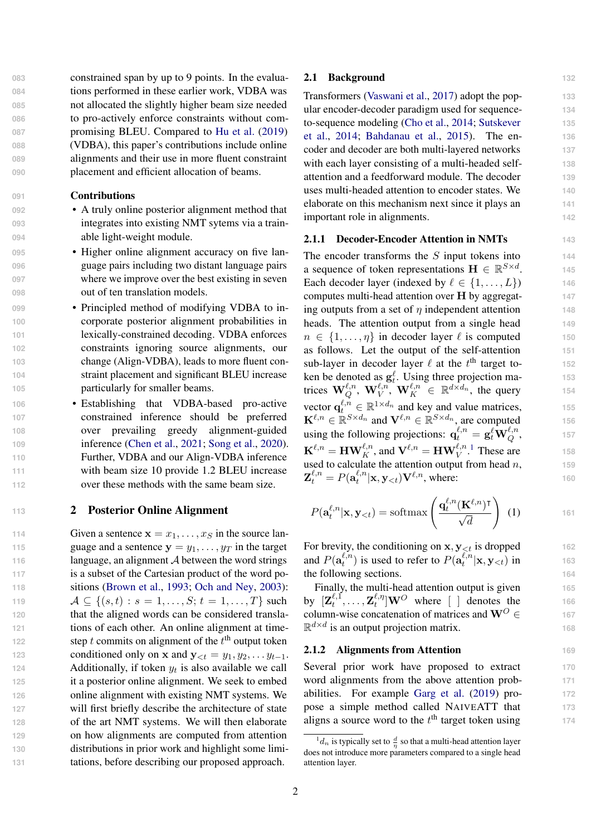constrained span by up to 9 points. In the evalua- tions performed in these earlier work, VDBA was not allocated the slightly higher beam size needed to pro-actively enforce constraints without com- promising BLEU. Compared to [Hu et al.](#page-8-8) [\(2019\)](#page-8-8) (VDBA), this paper's contributions include online alignments and their use in more fluent constraint placement and efficient allocation of beams.

#### **091** Contributions

- **092** A truly online posterior alignment method that **093** integrates into existing NMT sytems via a train-**094** able light-weight module.
- **195** Higher online alignment accuracy on five lan-**096** guage pairs including two distant language pairs **097** where we improve over the best existing in seven **098** out of ten translation models.
- **099** Principled method of modifying VDBA to in-**100** corporate posterior alignment probabilities in **101** lexically-constrained decoding. VDBA enforces **102** constraints ignoring source alignments, our **103** change (Align-VDBA), leads to more fluent con-**104** straint placement and significant BLEU increase **105** particularly for smaller beams.
- **106** Establishing that VDBA-based pro-active **107** constrained inference should be preferred **108** over prevailing greedy alignment-guided **109** inference [\(Chen et al.,](#page-8-9) [2021;](#page-8-9) [Song et al.,](#page-10-2) [2020\)](#page-10-2). **110** Further, VDBA and our Align-VDBA inference **111** with beam size 10 provide 1.2 BLEU increase **112** over these methods with the same beam size.

### **<sup>113</sup>** 2 Posterior Online Alignment

 Given a sentence  $x = x_1, \ldots, x_S$  in the source lan-115 guage and a sentence  $y = y_1, \dots, y_T$  in the target 116 language, an alignment A between the word strings is a subset of the Cartesian product of the word po- sitions [\(Brown et al.,](#page-8-10) [1993;](#page-8-10) [Och and Ney,](#page-9-1) [2003\)](#page-9-1):  $A \subseteq \{(s,t): s = 1, \ldots, S; t = 1, \ldots, T\}$  such that the aligned words can be considered transla- tions of each other. An online alignment at time-122 step t commits on alignment of the  $t<sup>th</sup>$  output token 123 conditioned only on x and  $y_{< t} = y_1, y_2, \ldots y_{t-1}$ . **Additionally, if token**  $y_t$  **is also available we call**  it a posterior online alignment. We seek to embed online alignment with existing NMT systems. We will first briefly describe the architecture of state of the art NMT systems. We will then elaborate on how alignments are computed from attention distributions in prior work and highlight some limi-tations, before describing our proposed approach.

### 2.1 Background **132**

Transformers [\(Vaswani et al.,](#page-10-4) [2017\)](#page-10-4) adopt the pop- **133** ular encoder-decoder paradigm used for sequence- **134** [t](#page-10-0)o-sequence modeling [\(Cho et al.,](#page-8-0) [2014;](#page-8-0) [Sutskever](#page-10-0) **135** [et al.,](#page-10-0) [2014;](#page-10-0) [Bahdanau et al.,](#page-8-11) [2015\)](#page-8-11). The en- **136** coder and decoder are both multi-layered networks **137** with each layer consisting of a multi-headed self- 138 attention and a feedforward module. The decoder **139** uses multi-headed attention to encoder states. We **140** elaborate on this mechanism next since it plays an **141** important role in alignments. **142**

#### 2.1.1 Decoder-Encoder Attention in NMTs **143**

. **145**

, **157**

(1) **161**

The encoder transforms the S input tokens into 144 a sequence of token representations  $\mathbf{H} \in \mathbb{R}^{S \times d}$ Each decoder layer (indexed by  $\ell \in \{1, \ldots, L\}$ ) 146 computes multi-head attention over H by aggregat- **147** ing outputs from a set of  $\eta$  independent attention **148** heads. The attention output from a single head **149**  $n \in \{1, \ldots, \eta\}$  in decoder layer  $\ell$  is computed 150 as follows. Let the output of the self-attention **151** sub-layer in decoder layer  $\ell$  at the  $t^{\text{th}}$  target to-<br>152 ken be denoted as  $g_t^{\ell}$ . Using three projection matrices  $\mathbf{W}_Q^{\ell,n}, \mathbf{W}_V^{\ell,n}, \mathbf{W}_K^{\ell,n} \in \mathbb{R}^{d \times d_n}$ , the query 154 vector  $\mathbf{q}_t^{\ell,n} \in \mathbb{R}^{1 \times d_n}$  and key and value matrices, 155  $\mathbf{K}^{\ell,n} \in \mathbb{R}^{S \times d_n}$  and  $\mathbf{V}^{\ell,n} \in \mathbb{R}^{S \times d_n}$ , are computed 156 using the following projections:  $\mathbf{q}^{\ell,n}_t = \mathbf{g}^{\ell}_t \mathbf{W}^{\ell,n}_Q$  $\mathbf{K}^{\ell,n} = \mathbf{H}\mathbf{W}_K^{\ell,n}$ , and  $\mathbf{V}^{\ell,n} = \mathbf{H}\mathbf{W}_V^{\ell,n}$ .<sup>[1](#page-1-0)</sup> These are 158 used to calculate the attention output from head  $n$ ,  $\qquad 159$  $\mathbf{Z}_t^{\ell,n} = P(\mathbf{a}_t^{\ell,n})$  $\mathcal{L}_t^{l,n}|\mathbf{x}, \mathbf{y}_{< t}) \mathbf{V}^{\ell,n}$ , where: **160** 

$$
P(\mathbf{a}_t^{\ell,n}|\mathbf{x}, \mathbf{y}_{
$$

For brevity, the conditioning on  $x, y_{\leq t}$  is dropped 162 and  $P(\mathbf{a}^{\ell,n}_t)$  $t_t^{\ell,n}$ ) is used to refer to  $P(\mathbf{a}_t^{\ell,n})$  $\mathbf{x}^{t,n}_{t}|\mathbf{x}, \mathbf{y}_{< t})$  in 163 the following sections. **164** 

Finally, the multi-head attention output is given 165 by  $[\mathbf{Z}_t^{\ell,1}]$  $t^{\ell,1}_{t},\ldots,\mathbf{Z}^{\ell,\eta}_{t}$  $\binom{\ell,\eta}{t}$  **WO** where [ ] denotes the **166** column-wise concatenation of matrices and  $W^O$  ∈ 167  $\mathbb{R}^{d \times d}$  is an output projection matrix. 168

#### 2.1.2 Alignments from Attention **169**

Several prior work have proposed to extract 170 word alignments from the above attention prob- **171** abilities. For example [Garg et al.](#page-8-6) [\(2019\)](#page-8-6) pro- **172** pose a simple method called NAIVEATT that **173** aligns a source word to the  $t<sup>th</sup>$  target token using  $174$ 

<span id="page-1-0"></span> $\frac{1}{n}d_n$  is typically set to  $\frac{d}{n}$  so that a multi-head attention layer does not introduce more parameters compared to a single head attention layer.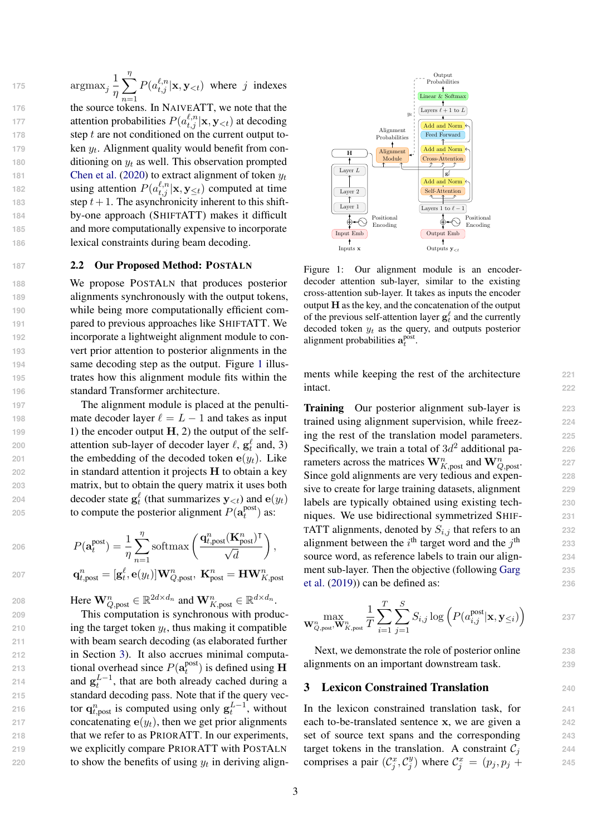$\operatorname{argmax}_j \frac{1}{n}$ η  $\sum$ η <sup>1</sup> $n=1$ <br>176 the source tokens. In NAIVEATT, we note that the 175  $\arg \max_j \frac{1}{n} \sum P(a_{t,j}^{\ell,n} | \mathbf{x}, \mathbf{y}_{ where j indexes$ 177 **attention probabilities**  $P(a_{t,j}^{\ell,n} | \mathbf{x}, \mathbf{y}_{< t})$  at decoding 178 **step t are not conditioned on the current output to-**179 **ken**  $y_t$ **. Alignment quality would benefit from con-**180 ditioning on  $y_t$  as well. This observation prompted 181 **[Chen et al.](#page-8-7)** [\(2020\)](#page-8-7) to extract alignment of token  $y_t$ 182 **using attention**  $P(a_{t,j}^{\ell,n} | \mathbf{x}, \mathbf{y}_{\leq t})$  computed at time 183 step  $t + 1$ . The asynchronicity inherent to this shift-**184** by-one approach (SHIFTATT) makes it difficult **185** and more computationally expensive to incorporate **186** lexical constraints during beam decoding.

## **187** 2.2 Our Proposed Method: POSTALN

 We propose POSTALN that produces posterior alignments synchronously with the output tokens, while being more computationally efficient com- pared to previous approaches like SHIFTATT. We incorporate a lightweight alignment module to con- vert prior attention to posterior alignments in the 94 same decoding step as the output. Figure 1 illus- trates how this alignment module fits within the standard Transformer architecture.

 The alignment module is placed at the penulti- mate decoder layer  $\ell = L - 1$  and takes as input<br>199 1) the encoder output **H** 2) the output of the self-1) the encoder output  $H$ , 2) the output of the self-**attention sub-layer of decoder layer**  $\ell$ **,**  $g_t^{\ell}$  **and, 3)** 201 the embedding of the decoded token  $e(y_t)$ . Like in standard attention it projects H to obtain a key matrix, but to obtain the query matrix it uses both **decoder state**  $\mathbf{g}_t^{\ell}$  **(that summarizes**  $\mathbf{y}_{< t}$ **) and**  $\mathbf{e}(y_t)$ to compute the posterior alignment  $P(\mathbf{a}^{\text{post}}_t)$ **b** to compute the posterior alignment  $P(\mathbf{a}^{\text{post}}_t)$  as:

206 
$$
P(\mathbf{a}_t^{\text{post}}) = \frac{1}{\eta} \sum_{n=1}^{\eta} \text{softmax}\left(\frac{\mathbf{q}_{t,\text{post}}^n(\mathbf{K}_{\text{post}}^n)^\mathsf{T}}{\sqrt{d}}\right),
$$
  
207 
$$
\mathbf{q}_{t,\text{post}}^n = [\mathbf{g}_t^{\ell}, \mathbf{e}(y_t)] \mathbf{W}_{Q,\text{post}}^n, \mathbf{K}_{\text{post}}^n = \mathbf{H} \mathbf{W}_{K,\text{post}}^n
$$

208 **Here**  $\mathbf{W}_{Q,\text{post}}^n \in \mathbb{R}^{2d \times d_n}$  and  $\mathbf{W}_{K,\text{post}}^n \in \mathbb{R}^{d \times d_n}$ .

 This computation is synchronous with produc- $\qquad$  ing the target token  $y_t$ , thus making it compatible with beam search decoding (as elaborated further in Section [3\)](#page-2-1). It also accrues minimal computational overhead since  $P(\mathbf{a}^{\text{post}}_t)$ **i** tional overhead since  $P(\mathbf{a}^{\text{post}}_t)$  is defined using **H** 214 and  $g_t^{L-1}$ , that are both already cached during a standard decoding pass. Note that if the query vec-**tor**  $\mathbf{q}_{t, \text{post}}^n$  is computed using only  $\mathbf{g}_t^{L-1}$ , without 217 concatenating  $e(y_t)$ , then we get prior alignments that we refer to as PRIORATT. In our experiments, we explicitly compare PRIORATT with POSTALN 220 to show the benefits of using  $y_t$  in deriving align-

<span id="page-2-0"></span>

Figure 1: Our alignment module is an encoderdecoder attention sub-layer, similar to the existing cross-attention sub-layer. It takes as inputs the encoder output  $H$  as the key, and the concatenation of the output of the previous self-attention layer  $g_t^{\ell}$  and the currently decoded token  $y_t$  as the query, and outputs posterior alignment probabilities  $\mathbf{a}_t^{\text{post}}$ .

ments while keeping the rest of the architecture **221 intact.** 222

Training Our posterior alignment sub-layer is **223** trained using alignment supervision, while freez- **224** ing the rest of the translation model parameters. **225** Specifically, we train a total of  $3d^2$  additional pa-  $226$ rameters across the matrices  $\mathbf{W}_{K, \text{post}}^n$  and  $\mathbf{W}_{Q, \text{post}}^n$ . 227 Since gold alignments are very tedious and expen- **228** sive to create for large training datasets, alignment **229** labels are typically obtained using existing tech- **230** niques. We use bidirectional symmetrized SHIF- **231** TATT alignments, denoted by  $S_{i,j}$  that refers to an  $232$ alignment between the  $i<sup>th</sup>$  target word and the j source word, as reference labels to train our align- **234** [m](#page-8-6)ent sub-layer. Then the objective (following [Garg](#page-8-6) **235** [et al.](#page-8-6) [\(2019\)](#page-8-6)) can be defined as: **236**

$$
\max_{\mathbf{W}_{Q,\text{post}}^n, \mathbf{W}_{K,\text{post}}^n} \frac{1}{T} \sum_{i=1}^T \sum_{j=1}^S S_{i,j} \log \left(P(a_{i,j}^{\text{post}}|\mathbf{x}, \mathbf{y}_{\leq i})\right)
$$

th **<sup>233</sup>**

**237**

Next, we demonstrate the role of posterior online **238** alignments on an important downstream task. **239**

#### <span id="page-2-1"></span>3 Lexicon Constrained Translation **<sup>240</sup>**

In the lexicon constrained translation task, for **241** each to-be-translated sentence x, we are given a **242** set of source text spans and the corresponding **243** target tokens in the translation. A constraint  $C_i$  244 comprises a pair  $(\mathcal{C}^x_j, \mathcal{C}^y_j)$  $(y_j^y)$  where  $C_j^x = (p_j, p_j + 245)$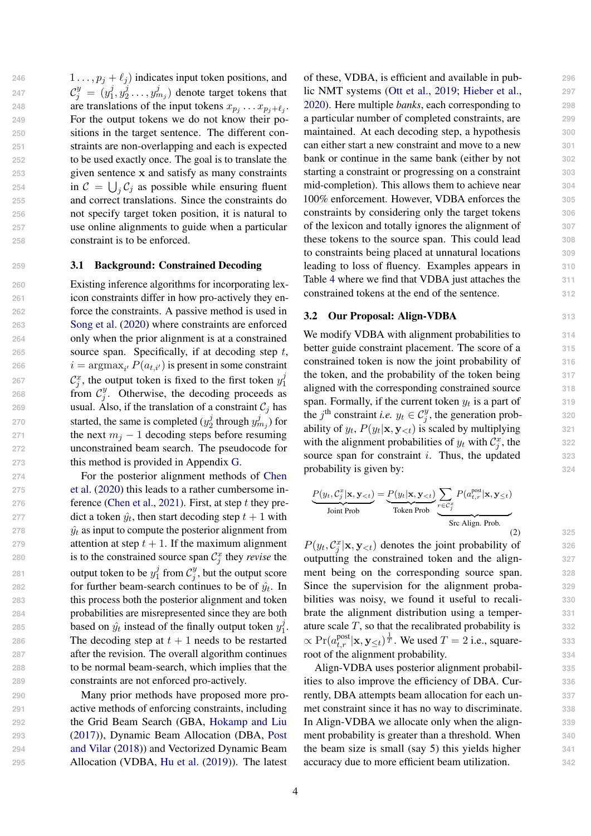246 1 . . . ,  $p_j + \ell_j$  indicates input token positions, and  $\mathcal{C}^y_j \ = \ (y^j_1$  $j\overline{j},y_2^j$  $\mathcal{C}_j^y = (y_1^j, y_2^j \dots, y_{m_j}^j)$  denote target tokens that **are translations of the input tokens**  $x_{p_j} \dots x_{p_j+\ell_j}$ . For the output tokens we do not know their po- sitions in the target sentence. The different con- straints are non-overlapping and each is expected to be used exactly once. The goal is to translate the given sentence x and satisfy as many constraints 254 in  $C = \bigcup_j C_j$  as possible while ensuring fluent and correct translations. Since the constraints do not specify target token position, it is natural to use online alignments to guide when a particular constraint is to be enforced.

### <span id="page-3-1"></span>**259** 3.1 Background: Constrained Decoding

 Existing inference algorithms for incorporating lex- icon constraints differ in how pro-actively they en- force the constraints. A passive method is used in [Song et al.](#page-10-2) [\(2020\)](#page-10-2) where constraints are enforced only when the prior alignment is at a constrained source span. Specifically, if at decoding step t,  $i = \operatorname{argmax}_{i'} P(a_{t,i'})$  is present in some constraint  $\mathcal{C}_j^x$ , the output token is fixed to the first token  $y_1^j$ 1 from  $\mathcal{C}_j^y$ **holds** from  $\mathcal{C}_j^y$ . Otherwise, the decoding proceeds as 269 usual. Also, if the translation of a constraint  $C_j$  has started, the same is completed  $(y_2^j)$ **started, the same is completed**  $(y_2^j$  through  $y_{m_j}^j$ ) for 271 the next  $m_j - 1$  decoding steps before resuming<br>272 unconstrained beam search. The pseudocode for unconstrained beam search. The pseudocode for this method is provided in Appendix [G.](#page-12-0)

**267**

 For the posterior alignment methods of [Chen](#page-8-7) [et al.](#page-8-7) [\(2020\)](#page-8-7) this leads to a rather cumbersome in- ference [\(Chen et al.,](#page-8-9) [2021\)](#page-8-9). First, at step t they pre-277 dict a token  $\hat{y}_t$ , then start decoding step  $t + 1$  with  $\hat{y}_t$  as input to compute the posterior alignment from attention at step  $t + 1$ . If the maximum alignment 280 is to the constrained source span  $C_j^x$  they *revise* the output token to be  $y_1^j$  $j\atop 1$  from  $\mathcal{C}^y_j$ **but output token to be**  $y_1^j$  **from**  $\mathcal{C}_j^y$ **, but the output score** for further beam-search continues to be of  $\hat{y}_t$ . In this process both the posterior alignment and token probabilities are misrepresented since they are both based on  $\hat{y}_t$  instead of the finally output token  $y_1^j$ **based on**  $\hat{y}_t$  instead of the finally output token  $y_1^j$ . 286 The decoding step at  $t + 1$  needs to be restarted after the revision. The overall algorithm continues to be normal beam-search, which implies that the constraints are not enforced pro-actively.

 Many prior methods have proposed more pro- active methods of enforcing constraints, including the Grid Beam Search (GBA, [Hokamp and Liu](#page-8-3) [\(2017\)](#page-8-3)), Dynamic Beam Allocation (DBA, [Post](#page-9-4) [and Vilar](#page-9-4) [\(2018\)](#page-9-4)) and Vectorized Dynamic Beam Allocation (VDBA, [Hu et al.](#page-8-8) [\(2019\)](#page-8-8)). The latest

of these, VDBA, is efficient and available in pub- **296** lic NMT systems [\(Ott et al.,](#page-9-5) [2019;](#page-9-5) [Hieber et al.,](#page-8-12) **297** [2020\)](#page-8-12). Here multiple *banks*, each corresponding to **298** a particular number of completed constraints, are **299** maintained. At each decoding step, a hypothesis **300** can either start a new constraint and move to a new **301** bank or continue in the same bank (either by not **302** starting a constraint or progressing on a constraint **303** mid-completion). This allows them to achieve near **304** 100% enforcement. However, VDBA enforces the **305** constraints by considering only the target tokens **306** of the lexicon and totally ignores the alignment of **307** these tokens to the source span. This could lead **308** to constraints being placed at unnatural locations **309** leading to loss of fluency. Examples appears in **310** Table [4](#page-7-0) where we find that VDBA just attaches the **311** constrained tokens at the end of the sentence. **312**

#### 3.2 Our Proposal: Align-VDBA **313**

We modify VDBA with alignment probabilities to 314 better guide constraint placement. The score of a **315** constrained token is now the joint probability of **316** the token, and the probability of the token being **317** aligned with the corresponding constrained source **318** span. Formally, if the current token  $y_t$  is a part of  $319$ the j<sup>th</sup> constraint *i.e.*  $y_t \in C_j^y$ , the generation prob- 320 ability of  $y_t$ ,  $P(y_t|\mathbf{x}, \mathbf{y}_{< t})$  is scaled by multiplying 321 with the alignment probabilities of  $y_t$  with  $\mathcal{C}^x_j$ , the  $\qquad \qquad$  322 source span for constraint *i*. Thus, the updated 323 probability is given by:  $324$ 

<span id="page-3-0"></span>
$$
\frac{P(y_t, C_j^x | \mathbf{x}, \mathbf{y}_{< t})}{\text{Joint Prob}} = \frac{P(y_t | \mathbf{x}, \mathbf{y}_{< t})}{\text{Token Prob}} \underbrace{\sum_{r \in C_j^x} P(a_{t,r}^{\text{post}} | \mathbf{x}, \mathbf{y}_{< t})}_{\text{Src Align. Prob.}} \tag{2}
$$

 $P(y_t, C_j^x | \mathbf{x}, \mathbf{y}_{< t})$  denotes the joint probability of 326 outputting the constrained token and the align- **327** ment being on the corresponding source span. **328** Since the supervision for the alignment proba- **329** bilities was noisy, we found it useful to recali- **330** brate the alignment distribution using a temper- **331** ature scale T, so that the recalibrated probability is **332**  $\propto \Pr(a_{t,r}^{\text{post}} | \mathbf{x}, \mathbf{y}_{\leq t})^{\frac{1}{T}}$ . We used  $T = 2$  i.e., square- 333 root of the alignment probability. **334**

Align-VDBA uses posterior alignment probabil- **335** ities to also improve the efficiency of DBA. Cur- **336** rently, DBA attempts beam allocation for each un- **337** met constraint since it has no way to discriminate. **338** In Align-VDBA we allocate only when the align- **339** ment probability is greater than a threshold. When  $340$ the beam size is small (say 5) this yields higher **341** accuracy due to more efficient beam utilization. **342**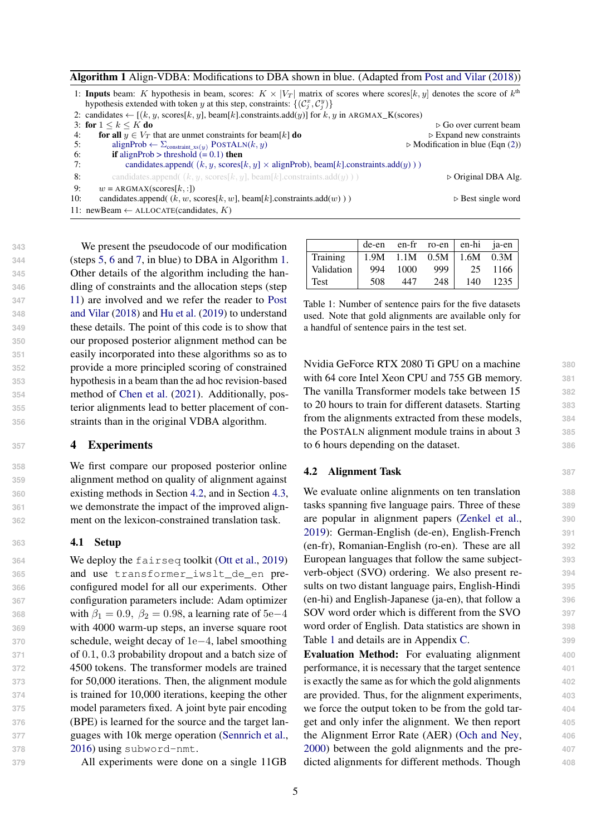<span id="page-4-0"></span>

|     | 1: <b>Inputs</b> beam: K hypothesis in beam, scores: $K \times  V_T $ matrix of scores where scores $[k, y]$ denotes the score of $k^{\text{th}}$ |                                                 |
|-----|---------------------------------------------------------------------------------------------------------------------------------------------------|-------------------------------------------------|
|     | hypothesis extended with token y at this step, constraints: $\{(C_i^x, C_i^y)\}$                                                                  |                                                 |
|     | 2: candidates $\leftarrow$ [ $(k, y, \text{scores} [k, y], \text{beam} [k].$ constraints.add $(y)$ ] for $k, y$ in ARGMAX_K(scores)               |                                                 |
|     | 3: for $1 \le k \le K$ do                                                                                                                         | $\triangleright$ Go over current beam           |
| 4:  | for all $y \in V_T$ that are unmet constraints for beam[k] do                                                                                     | $\triangleright$ Expand new constraints         |
| 5:  | alignProb $\leftarrow \Sigma_{\text{constraint xs}(y)}$ POSTALN $(k, y)$                                                                          | $\triangleright$ Modification in blue (Eqn (2)) |
| 6:  | <b>if</b> alignProb > threshold $(= 0.1)$ then                                                                                                    |                                                 |
| 7:  | candidates.append( $(k, y, \text{scores}[k, y] \times \text{alignProb})$ , beam[k].constraints.add(y)))                                           |                                                 |
| 8:  | candidates.append( $(k, y, \text{scores}[k, y], \text{beam}[k].\text{constraints}$ .add(y)))                                                      | $\triangleright$ Original DBA Alg.              |
| 9:  | $w = ARGMAX(scores[k, :])$                                                                                                                        |                                                 |
| 10: | candidates.append( $(k, w, \text{scores}[k, w], \text{beam}[k].$ constraints.add $(w)$ ))                                                         | $\triangleright$ Best single word               |
|     | 11: newBeam $\leftarrow$ ALLOCATE(candidates, K)                                                                                                  |                                                 |

 We present the pseudocode of our modification (steps [5,](#page-4-0) [6](#page-4-0) and [7,](#page-4-0) in blue) to DBA in Algorithm [1.](#page-4-0) Other details of the algorithm including the han- dling of constraints and the allocation steps (step [11\)](#page-4-0) are involved and we refer the reader to [Post](#page-9-4) [and Vilar](#page-9-4) [\(2018\)](#page-9-4) and [Hu et al.](#page-8-8) [\(2019\)](#page-8-8) to understand these details. The point of this code is to show that our proposed posterior alignment method can be easily incorporated into these algorithms so as to provide a more principled scoring of constrained hypothesis in a beam than the ad hoc revision-based method of [Chen et al.](#page-8-9) [\(2021\)](#page-8-9). Additionally, pos- terior alignments lead to better placement of con-straints than in the original VDBA algorithm.

#### **<sup>357</sup>** 4 Experiments

 We first compare our proposed posterior online alignment method on quality of alignment against existing methods in Section [4.2,](#page-4-1) and in Section [4.3,](#page-5-0) we demonstrate the impact of the improved align-ment on the lexicon-constrained translation task.

#### **363** 4.1 Setup

 We deploy the fairseq toolkit [\(Ott et al.,](#page-9-5) [2019\)](#page-9-5) and use transformer\_iwslt\_de\_en pre- configured model for all our experiments. Other configuration parameters include: Adam optimizer 368 with  $\beta_1 = 0.9, \ \beta_2 = 0.98$ , a learning rate of 5e–4 with 4000 warm-up steps, an inverse square root schedule, weight decay of 1e−4, label smoothing of 0.1, 0.3 probability dropout and a batch size of 4500 tokens. The transformer models are trained for 50,000 iterations. Then, the alignment module is trained for 10,000 iterations, keeping the other model parameters fixed. A joint byte pair encoding (BPE) is learned for the source and the target lan- guages with 10k merge operation [\(Sennrich et al.,](#page-9-6) [2016\)](#page-9-6) using subword-nmt.

**379** All experiments were done on a single 11GB

<span id="page-4-2"></span>

|            | de-en |      | en-fr ro-en en-hi ja-en |      |       |
|------------|-------|------|-------------------------|------|-------|
| Training   | 1.9M  | 1.1M | 0.5M                    | 1.6M | 0.3M  |
| Validation | 994   | 1000 | 999                     | 25   | -1166 |
| Test       | 508   | 447  | 248                     | 140  | 1235  |

Table 1: Number of sentence pairs for the five datasets used. Note that gold alignments are available only for a handful of sentence pairs in the test set.

Nvidia GeForce RTX 2080 Ti GPU on a machine **380** with 64 core Intel Xeon CPU and 755 GB memory. **381** The vanilla Transformer models take between 15 **382** to 20 hours to train for different datasets. Starting **383** from the alignments extracted from these models, **384** the POSTALN alignment module trains in about 3 **385** to 6 hours depending on the dataset. **386**

#### <span id="page-4-1"></span>4.2 Alignment Task **387**

We evaluate online alignments on ten translation **388** tasks spanning five language pairs. Three of these **389** are popular in alignment papers [\(Zenkel et al.,](#page-10-5) **390** [2019\)](#page-10-5): German-English (de-en), English-French **391** (en-fr), Romanian-English (ro-en). These are all **392** European languages that follow the same subject- **393** verb-object (SVO) ordering. We also present re- **394** sults on two distant language pairs, English-Hindi **395** (en-hi) and English-Japanese (ja-en), that follow a **396** SOV word order which is different from the SVO **397** word order of English. Data statistics are shown in **398** Table [1](#page-4-2) and details are in Appendix [C.](#page-11-0) 399

Evaluation Method: For evaluating alignment **400** performance, it is necessary that the target sentence **401** is exactly the same as for which the gold alignments **402** are provided. Thus, for the alignment experiments, **403** we force the output token to be from the gold tar-  $404$ get and only infer the alignment. We then report **405** the Alignment Error Rate (AER) [\(Och and Ney,](#page-9-7) **406** [2000\)](#page-9-7) between the gold alignments and the pre- **407** dicted alignments for different methods. Though **408**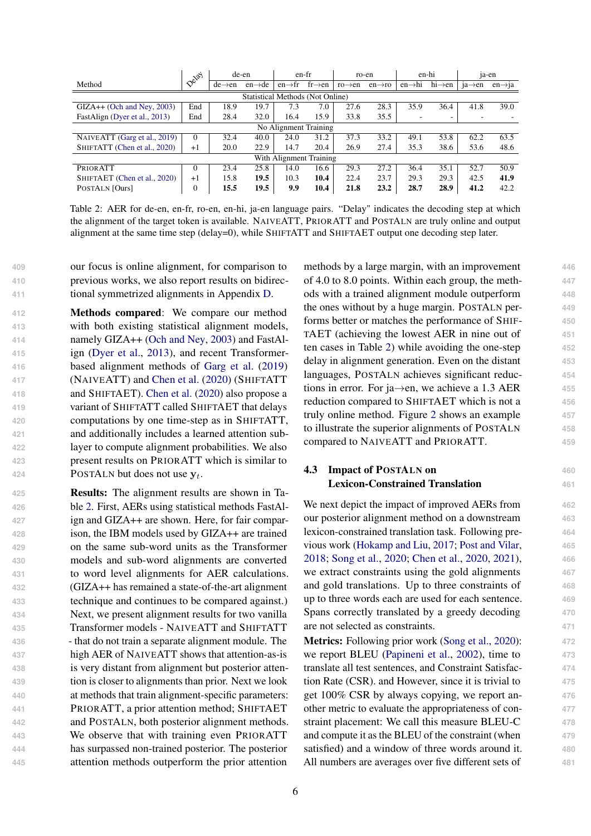<span id="page-5-1"></span>

|                                         | $\sim$ $\circ$ $\circ$ $\circ$ $\circ$ |                     | de-en               |                     | en-fr                   |                     | ro-en               |                     | en-hi               |                     | $ia-en$              |
|-----------------------------------------|----------------------------------------|---------------------|---------------------|---------------------|-------------------------|---------------------|---------------------|---------------------|---------------------|---------------------|----------------------|
| Method                                  |                                        | $de \rightarrow en$ | $en \rightarrow de$ | $en \rightarrow fr$ | $fr{\rightarrow}en$     | $ro \rightarrow en$ | $en \rightarrow ro$ | $en \rightarrow hi$ | $hi \rightarrow en$ | $1a \rightarrow en$ | $en \rightarrow i a$ |
| <b>Statistical Methods (Not Online)</b> |                                        |                     |                     |                     |                         |                     |                     |                     |                     |                     |                      |
| $GLA++ (Och and Ney, 2003)$             | End                                    | 18.9                | 19.7                | 7.3                 | 7.0                     | 27.6                | 28.3                | 35.9                | 36.4                | 41.8                | 39.0                 |
| FastAlign (Dyer et al., 2013)           | End                                    | 28.4                | 32.0                | 16.4                | 15.9                    | 33.8                | 35.5                |                     |                     |                     |                      |
| No Alignment Training                   |                                        |                     |                     |                     |                         |                     |                     |                     |                     |                     |                      |
| NAIVEATT (Garg et al., 2019)            | $\Omega$                               | 32.4                | 40.0                | 24.0                | 31.2                    | 37.3                | 33.2                | 49.1                | 53.8                | 62.2                | 63.5                 |
| SHIFTATT (Chen et al., 2020)            | $+1$                                   | 20.0                | 22.9                | 14.7                | 20.4                    | 26.9                | 27.4                | 35.3                | 38.6                | 53.6                | 48.6                 |
|                                         |                                        |                     |                     |                     | With Alignment Training |                     |                     |                     |                     |                     |                      |
| <b>PRIORATT</b>                         | $\Omega$                               | 23.4                | 25.8                | 14.0                | 16.6                    | 29.3                | 27.2                | 36.4                | 35.1                | 52.7                | 50.9                 |
| SHIFTAET (Chen et al., 2020)            | $+1$                                   | 15.8                | 19.5                | 10.3                | 10.4                    | 22.4                | 23.7                | 29.3                | 29.3                | 42.5                | 41.9                 |
| POSTALN [Ours]                          | $\mathbf{0}$                           | 15.5                | 19.5                | 9.9                 | 10.4                    | 21.8                | 23.2                | 28.7                | 28.9                | 41.2                | 42.2                 |

Table 2: AER for de-en, en-fr, ro-en, en-hi, ja-en language pairs. "Delay" indicates the decoding step at which the alignment of the target token is available. NAIVEATT, PRIORATT and POSTALN are truly online and output alignment at the same time step (delay=0), while SHIFTATT and SHIFTAET output one decoding step later.

**409** our focus is online alignment, for comparison to **410** previous works, we also report results on bidirec-**411** tional symmetrized alignments in Appendix [D.](#page-11-1)

 Methods compared: We compare our method with both existing statistical alignment models, namely GIZA++ [\(Och and Ney,](#page-9-1) [2003\)](#page-9-1) and FastAl- ign [\(Dyer et al.,](#page-8-13) [2013\)](#page-8-13), and recent Transformer- based alignment methods of [Garg et al.](#page-8-6) [\(2019\)](#page-8-6) (NAIVEATT) and [Chen et al.](#page-8-7) [\(2020\)](#page-8-7) (SHIFTATT and SHIFTAET). [Chen et al.](#page-8-7) [\(2020\)](#page-8-7) also propose a variant of SHIFTATT called SHIFTAET that delays computations by one time-step as in SHIFTATT, and additionally includes a learned attention sub- layer to compute alignment probabilities. We also present results on PRIORATT which is similar to **POSTALN** but does not use  $y_t$ .

 Results: The alignment results are shown in Ta- ble [2.](#page-5-1) First, AERs using statistical methods FastAl- ign and GIZA++ are shown. Here, for fair compar- ison, the IBM models used by GIZA++ are trained on the same sub-word units as the Transformer models and sub-word alignments are converted to word level alignments for AER calculations. (GIZA++ has remained a state-of-the-art alignment technique and continues to be compared against.) Next, we present alignment results for two vanilla Transformer models - NAIVEATT and SHIFTATT - that do not train a separate alignment module. The high AER of NAIVEATT shows that attention-as-is is very distant from alignment but posterior atten- tion is closer to alignments than prior. Next we look at methods that train alignment-specific parameters: PRIORATT, a prior attention method; SHIFTAET and POSTALN, both posterior alignment methods. We observe that with training even PRIORATT has surpassed non-trained posterior. The posterior attention methods outperform the prior attention

methods by a large margin, with an improvement  $446$ of 4.0 to 8.0 points. Within each group, the meth- **447** ods with a trained alignment module outperform **448** the ones without by a huge margin. POSTALN per- **449** forms better or matches the performance of SHIF- **450** TAET (achieving the lowest AER in nine out of **451** ten cases in Table [2\)](#page-5-1) while avoiding the one-step **452** delay in alignment generation. Even on the distant **453** languages, POSTALN achieves significant reduc- **454** tions in error. For ja→en, we achieve a 1.3 AER **<sup>455</sup>** reduction compared to SHIFTAET which is not a **456** truly online method. Figure [2](#page-6-0) shows an example **457** to illustrate the superior alignments of POSTALN **458** compared to NAIVEATT and PRIORATT. **459**

### <span id="page-5-0"></span>**4.3 Impact of POSTALN on** 460 Lexicon-Constrained Translation **461**

We next depict the impact of improved AERs from 462 our posterior alignment method on a downstream **463** lexicon-constrained translation task. Following pre- **464** vious work [\(Hokamp and Liu,](#page-8-3) [2017;](#page-8-3) [Post and Vilar,](#page-9-4) **465** [2018;](#page-9-4) [Song et al.,](#page-10-2) [2020;](#page-10-2) [Chen et al.,](#page-8-7) [2020,](#page-8-7) [2021\)](#page-8-9), **466** we extract constraints using the gold alignments **467** and gold translations. Up to three constraints of **468** up to three words each are used for each sentence. **469** Spans correctly translated by a greedy decoding **470** are not selected as constraints. **471**

Metrics: Following prior work [\(Song et al.,](#page-10-2) [2020\)](#page-10-2): **472** we report BLEU [\(Papineni et al.,](#page-9-8) [2002\)](#page-9-8), time to **473** translate all test sentences, and Constraint Satisfac- **474** tion Rate (CSR). and However, since it is trivial to **475** get 100% CSR by always copying, we report an- **476** other metric to evaluate the appropriateness of con- **477** straint placement: We call this measure BLEU-C **478** and compute it as the BLEU of the constraint (when **479** satisfied) and a window of three words around it. **480** All numbers are averages over five different sets of **481**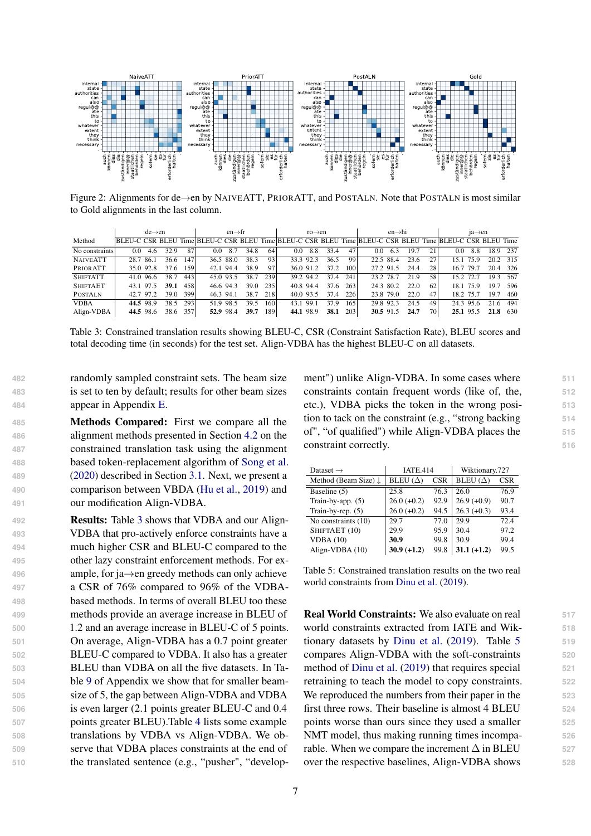<span id="page-6-0"></span>

Figure 2: Alignments for de→en by NAIVEATT, PRIORATT, and POSTALN. Note that POSTALN is most similar to Gold alignments in the last column.

<span id="page-6-1"></span>

|                 |           | $de \rightarrow en$ |      |     |                                                                                                          | $en \rightarrow fr$ |      |      |           | $ro \rightarrow en$ |      |     |           | $en \rightarrow hi$ |      |           |           | $1a \rightarrow en$ |      |      |
|-----------------|-----------|---------------------|------|-----|----------------------------------------------------------------------------------------------------------|---------------------|------|------|-----------|---------------------|------|-----|-----------|---------------------|------|-----------|-----------|---------------------|------|------|
| Method          |           |                     |      |     | BLEU-C CSR BLEU Time BLEU-C CSR BLEU Time BLEU-C CSR BLEU Time BLEU-C CSR BLEU Time BLEU-C CSR BLEU Time |                     |      |      |           |                     |      |     |           |                     |      |           |           |                     |      |      |
| No constraints  | 0.0       | 4.6                 | 32.9 | 87  | 0.0                                                                                                      | 8.7                 | 34.8 | 64   | 0.0       | 8.8                 | 33.4 | 47  | 0.0       | 6.3                 | 19.7 | 21        | 0.0       | 8.8                 | 18.9 | 237  |
| <b>NAIVEATT</b> | 28.7 86.1 |                     | 36.6 | 147 |                                                                                                          | 36.5 88.0           | 38.3 | 93   |           | 33.3 92.3           | 36.5 | 99  |           | 22.5 88.4           | 23.6 | 27        |           | 15.1 75.9           | 20.2 | 315  |
| PRIORATT        |           | 35.0 92.8           | 37.6 | 159 | 42.1 94.4                                                                                                |                     | 38.9 | 97   |           | 36.0 91.2           | 37.2 | 100 |           | 27.2 91.5           | 24.4 | 28        | 16.7 79.7 |                     | 20.4 | 326  |
| <b>SHIFTATT</b> |           | 41.0 96.6           | 38.7 | 443 | 45.0 93.5                                                                                                |                     | 38.7 | 239  |           | 39.2 94.2           | 37.4 | 241 | 23.2 78.7 |                     | 21.9 | 58        | 15.2 72.7 |                     | 19.3 | -567 |
| <b>SHIFTAET</b> |           | 43.1 97.5           | 39.1 | 458 | 46.6 94.3                                                                                                |                     | 39.0 | 235  | 40.8 94.4 |                     | 37.6 | 263 | 24.3 80.2 |                     | 22.0 | 62        |           | 18.1 75.9           | 19.7 | -596 |
| <b>POSTALN</b>  |           | 42.7 97.2           | 39.0 | 399 | 46.3 94.1                                                                                                |                     | 38.7 | 218  | 40.0 93.5 |                     | 37.4 | 226 |           | 23.8 79.0           | 22.0 | 47        | 18.2 75.7 |                     | 19.7 | 460  |
| <b>VDBA</b>     |           | 44.5 98.9           | 38.5 | 293 |                                                                                                          | 51.9 98.5           | 39.5 | 1601 | 43.1      | 99.1                | 37.9 | 165 |           | 29.8 92.3           | 24.5 | 49        |           | 24.3 95.6           | 21.6 | 494  |
| Align-VDBA      |           | 44.5 98.6           | 38.6 | 357 |                                                                                                          | 52.9 98.4           | 39.7 | 189  | 44.1 98.9 |                     | 38.1 | 203 |           | 30.5 91.5           | 24.7 | <b>70</b> |           | 25.1 95.5           | 21.8 | 630  |

Table 3: Constrained translation results showing BLEU-C, CSR (Constraint Satisfaction Rate), BLEU scores and total decoding time (in seconds) for the test set. Align-VDBA has the highest BLEU-C on all datasets.

**482** randomly sampled constraint sets. The beam size **483** is set to ten by default; results for other beam sizes **484** appear in Appendix [E.](#page-12-1)

 Methods Compared: First we compare all the alignment methods presented in Section [4.2](#page-4-1) on the constrained translation task using the alignment based token-replacement algorithm of [Song et al.](#page-10-2) [\(2020\)](#page-10-2) described in Section [3.1.](#page-3-1) Next, we present a comparison between VBDA [\(Hu et al.,](#page-8-8) [2019\)](#page-8-8) and our modification Align-VDBA.

 Results: Table [3](#page-6-1) shows that VDBA and our Align- VDBA that pro-actively enforce constraints have a much higher CSR and BLEU-C compared to the other lazy constraint enforcement methods. For ex- ample, for ja→en greedy methods can only achieve a CSR of 76% compared to 96% of the VDBA- based methods. In terms of overall BLEU too these methods provide an average increase in BLEU of 1.2 and an average increase in BLEU-C of 5 points. On average, Align-VDBA has a 0.7 point greater BLEU-C compared to VDBA. It also has a greater BLEU than VDBA on all the five datasets. In Ta- ble [9](#page-13-0) of Appendix we show that for smaller beam- size of 5, the gap between Align-VDBA and VDBA is even larger (2.1 points greater BLEU-C and 0.4 points greater BLEU).Table [4](#page-7-0) lists some example translations by VDBA vs Align-VDBA. We ob- serve that VDBA places constraints at the end of the translated sentence (e.g., "pusher", "development") unlike Align-VDBA. In some cases where **511** constraints contain frequent words (like of, the, **512** etc.), VDBA picks the token in the wrong posi- **513** tion to tack on the constraint (e.g., "strong backing **514** of", "of qualified") while Align-VDBA places the **515** constraint correctly. 516

<span id="page-6-2"></span>

| Dataset $\rightarrow$           | <b>IATE.414</b> |            | Wiktionary.727  |            |  |  |
|---------------------------------|-----------------|------------|-----------------|------------|--|--|
| Method (Beam Size) $\downarrow$ | BLEU $(\Delta)$ | <b>CSR</b> | BLEU $(\Delta)$ | <b>CSR</b> |  |  |
| Baseline (5)                    | 25.8            | 76.3       | 26.0            | 76.9       |  |  |
| Train-by-app. $(5)$             | $26.0 (+0.2)$   | 92.9       | $26.9 (+0.9)$   | 90.7       |  |  |
| Train-by-rep. $(5)$             | $26.0 (+0.2)$   | 94.5       | $26.3 (+0.3)$   | 93.4       |  |  |
| No constraints (10)             | 29.7            | 77.0       | 29.9            | 72.4       |  |  |
| SHIFTAET (10)                   | 29.9            | 95.9       | 30.4            | 97.2       |  |  |
| VDBA(10)                        | 30.9            | 99.8       | 30.9            | 99.4       |  |  |
| Align-VDBA (10)                 | $30.9 (+1.2)$   | 99.8       | $31.1 (+1.2)$   | 99.5       |  |  |

Table 5: Constrained translation results on the two real world constraints from [Dinu et al.](#page-8-14) [\(2019\)](#page-8-14).

Real World Constraints: We also evaluate on real **517** world constraints extracted from IATE and Wik- **518** tionary datasets by [Dinu et al.](#page-8-14) [\(2019\)](#page-8-14). Table [5](#page-6-2) 519 compares Align-VDBA with the soft-constraints **520** method of [Dinu et al.](#page-8-14) [\(2019\)](#page-8-14) that requires special 521 retraining to teach the model to copy constraints. **522** We reproduced the numbers from their paper in the 523 first three rows. Their baseline is almost 4 BLEU **524** points worse than ours since they used a smaller **525** NMT model, thus making running times incompa- **526** rable. When we compare the increment  $\Delta$  in BLEU  $527$ over the respective baselines, Align-VDBA shows **528**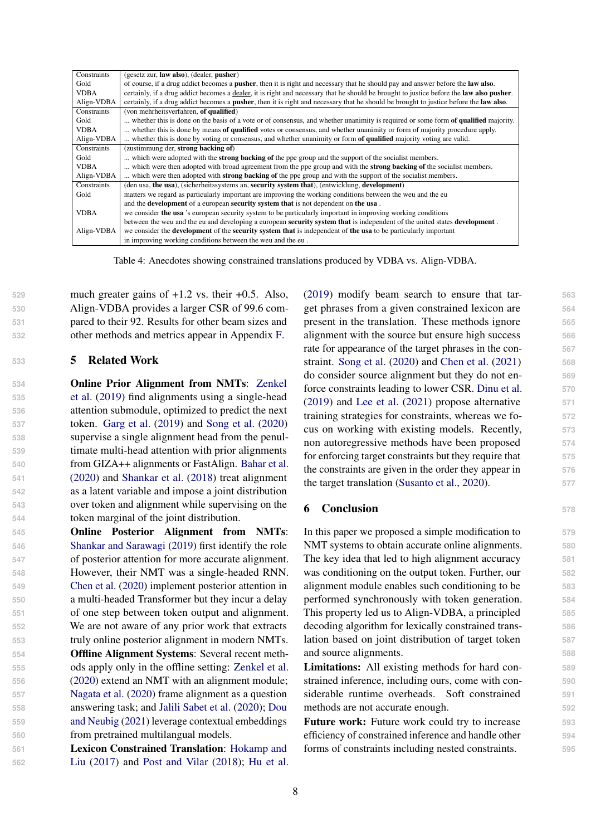<span id="page-7-0"></span>

| Constraints | (gesetz zur, law also), (dealer, pusher)                                                                                                               |
|-------------|--------------------------------------------------------------------------------------------------------------------------------------------------------|
| Gold        | of course, if a drug addict becomes a <b>pusher</b> , then it is right and necessary that he should pay and answer before the <b>law also</b> .        |
| <b>VDBA</b> | certainly, if a drug addict becomes a dealer, it is right and necessary that he should be brought to justice before the law also pusher.               |
| Align-VDBA  | certainly, if a drug addict becomes a <b>pusher</b> , then it is right and necessary that he should be brought to justice before the <b>law also</b> . |
| Constraints | (von mehrheitsverfahren, of qualified)                                                                                                                 |
| Gold        | whether this is done on the basis of a vote or of consensus, and whether unanimity is required or some form of qualified majority.                     |
| <b>VDBA</b> | whether this is done by means of qualified votes or consensus, and whether unanimity or form of majority procedure apply.                              |
| Align-VDBA  | whether this is done by voting or consensus, and whether unanimity or form of qualified majority voting are valid.                                     |
| Constraints | (zustimmung der, strong backing of)                                                                                                                    |
| Gold        | which were adopted with the <b>strong backing of</b> the ppe group and the support of the socialist members.                                           |
| <b>VDBA</b> | which were then adopted with broad agreement from the ppe group and with the strong backing of the socialist members.                                  |
| Align-VDBA  | which were then adopted with <b>strong backing of</b> the ppe group and with the support of the socialist members.                                     |
| Constraints | (den usa, the usa), (sicherheitssystems an, security system that), (entwicklung, development)                                                          |
| Gold        | matters we regard as particularly important are improving the working conditions between the weu and the eu                                            |
|             | and the <b>development</b> of a european <b>security system that</b> is not dependent on <b>the usa</b> .                                              |
| <b>VDBA</b> | we consider the usa 's european security system to be particularly important in improving working conditions                                           |
|             | between the weu and the eu and developing a european security system that is independent of the united states development.                             |
| Align-VDBA  | we consider the <b>development</b> of the <b>security system that</b> is independent of <b>the usa</b> to be particularly important                    |
|             | in improving working conditions between the weu and the eu.                                                                                            |

Table 4: Anecdotes showing constrained translations produced by VDBA vs. Align-VDBA.

 much greater gains of +1.2 vs. their +0.5. Also, Align-VDBA provides a larger CSR of 99.6 com- pared to their 92. Results for other beam sizes and other methods and metrics appear in Appendix [F.](#page-12-2)

#### **<sup>533</sup>** 5 Related Work

 [O](#page-10-5)nline Prior Alignment from NMTs: [Zenkel](#page-10-5) [et al.](#page-10-5) [\(2019\)](#page-10-5) find alignments using a single-head attention submodule, optimized to predict the next token. [Garg et al.](#page-8-6) [\(2019\)](#page-8-6) and [Song et al.](#page-10-2) [\(2020\)](#page-10-2) supervise a single alignment head from the penul- timate multi-head attention with prior alignments from GIZA++ alignments or FastAlign. [Bahar et al.](#page-8-15) [\(2020\)](#page-8-15) and [Shankar et al.](#page-9-9) [\(2018\)](#page-9-9) treat alignment as a latent variable and impose a joint distribution over token and alignment while supervising on the token marginal of the joint distribution.

 Online Posterior Alignment from NMTs: [Shankar and Sarawagi](#page-10-3) [\(2019\)](#page-10-3) first identify the role of posterior attention for more accurate alignment. However, their NMT was a single-headed RNN. [Chen et al.](#page-8-7) [\(2020\)](#page-8-7) implement posterior attention in a multi-headed Transformer but they incur a delay of one step between token output and alignment. We are not aware of any prior work that extracts truly online posterior alignment in modern NMTs. Offline Alignment Systems: Several recent meth- ods apply only in the offline setting: [Zenkel et al.](#page-10-6) [\(2020\)](#page-10-6) extend an NMT with an alignment module; [Nagata et al.](#page-9-10) [\(2020\)](#page-9-10) frame alignment as a question [a](#page-8-1)nswering task; and [Jalili Sabet et al.](#page-9-2) [\(2020\)](#page-9-2); [Dou](#page-8-1) [and Neubig](#page-8-1) [\(2021\)](#page-8-1) leverage contextual embeddings from pretrained multilangual models.

**561** [L](#page-8-3)exicon Constrained Translation: [Hokamp and](#page-8-3) **562** [Liu](#page-8-3) [\(2017\)](#page-8-3) and [Post and Vilar](#page-9-4) [\(2018\)](#page-9-4); [Hu et al.](#page-8-8) [\(2019\)](#page-8-8) modify beam search to ensure that tar- **563** get phrases from a given constrained lexicon are **564** present in the translation. These methods ignore **565** alignment with the source but ensure high success **566** rate for appearance of the target phrases in the con- **567** straint. [Song et al.](#page-10-2) [\(2020\)](#page-10-2) and [Chen et al.](#page-8-9) [\(2021\)](#page-8-9) **568** do consider source alignment but they do not en- **569** force constraints leading to lower CSR. [Dinu et al.](#page-8-14) **570** [\(2019\)](#page-8-14) and [Lee et al.](#page-9-11) [\(2021\)](#page-9-11) propose alternative **571** training strategies for constraints, whereas we fo- **572** cus on working with existing models. Recently, **573** non autoregressive methods have been proposed **574** for enforcing target constraints but they require that **575** the constraints are given in the order they appear in **576** the target translation [\(Susanto et al.,](#page-10-7) [2020\)](#page-10-7). **577**

#### 6 Conclusion **<sup>578</sup>**

In this paper we proposed a simple modification to **579** NMT systems to obtain accurate online alignments. **580** The key idea that led to high alignment accuracy **581** was conditioning on the output token. Further, our **582** alignment module enables such conditioning to be **583** performed synchronously with token generation. **584** This property led us to Align-VDBA, a principled **585** decoding algorithm for lexically constrained trans- **586** lation based on joint distribution of target token **587** and source alignments. **588** 

Limitations: All existing methods for hard con- **589** strained inference, including ours, come with con- **590** siderable runtime overheads. Soft constrained **591** methods are not accurate enough. **592**

Future work: Future work could try to increase **593** efficiency of constrained inference and handle other **594** forms of constraints including nested constraints. **595**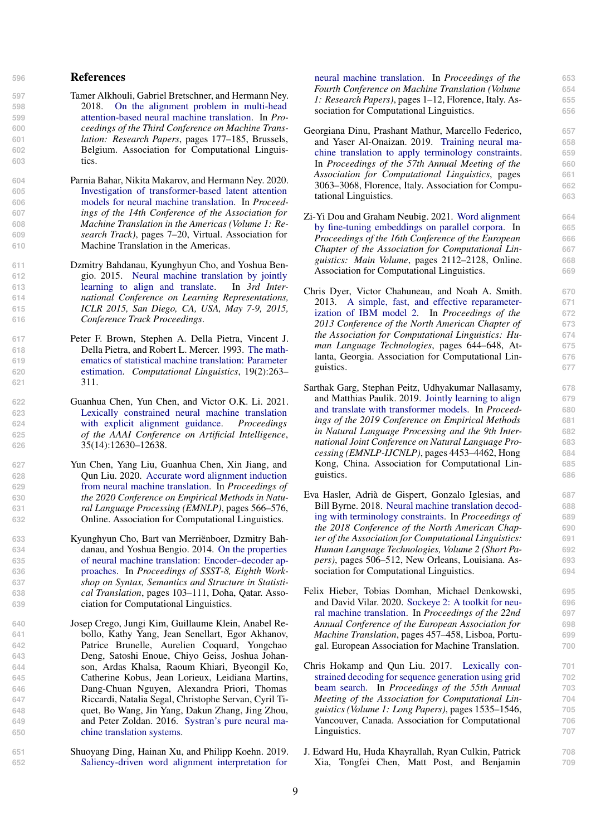#### **<sup>596</sup>** References

- <span id="page-8-4"></span>**597** Tamer Alkhouli, Gabriel Bretschner, and Hermann Ney. **598** 2018. [On the alignment problem in multi-head](https://doi.org/10.18653/v1/W18-6318) **599** [attention-based neural machine translation.](https://doi.org/10.18653/v1/W18-6318) In *Pro-***600** *ceedings of the Third Conference on Machine Trans-***601** *lation: Research Papers*, pages 177–185, Brussels, **602** Belgium. Association for Computational Linguis-**603** tics.
- <span id="page-8-15"></span>**604** Parnia Bahar, Nikita Makarov, and Hermann Ney. 2020. **605** [Investigation of transformer-based latent attention](https://aclanthology.org/2020.amta-research.2) **606** [models for neural machine translation.](https://aclanthology.org/2020.amta-research.2) In *Proceed-***607** *ings of the 14th Conference of the Association for* **608** *Machine Translation in the Americas (Volume 1: Re-***609** *search Track)*, pages 7–20, Virtual. Association for **610** Machine Translation in the Americas.
- <span id="page-8-11"></span>**611** Dzmitry Bahdanau, Kyunghyun Cho, and Yoshua Ben-**612** gio. 2015. [Neural machine translation by jointly](http://arxiv.org/abs/1409.0473) **613** [learning to align and translate.](http://arxiv.org/abs/1409.0473) In *3rd Inter-***614** *national Conference on Learning Representations,* **615** *ICLR 2015, San Diego, CA, USA, May 7-9, 2015,* **616** *Conference Track Proceedings*.
- <span id="page-8-10"></span>**617** Peter F. Brown, Stephen A. Della Pietra, Vincent J. **618** Della Pietra, and Robert L. Mercer. 1993. [The math-](https://aclanthology.org/J93-2003)**619** [ematics of statistical machine translation: Parameter](https://aclanthology.org/J93-2003) **620** [estimation.](https://aclanthology.org/J93-2003) *Computational Linguistics*, 19(2):263– **621** 311.
- <span id="page-8-9"></span>**622** Guanhua Chen, Yun Chen, and Victor O.K. Li. 2021. **623** [Lexically constrained neural machine translation](https://ojs.aaai.org/index.php/AAAI/article/view/17496) **624** [with explicit alignment guidance.](https://ojs.aaai.org/index.php/AAAI/article/view/17496) *Proceedings* **625** *of the AAAI Conference on Artificial Intelligence*, **626** 35(14):12630–12638.
- <span id="page-8-7"></span>**627** Yun Chen, Yang Liu, Guanhua Chen, Xin Jiang, and **628** Qun Liu. 2020. [Accurate word alignment induction](https://doi.org/10.18653/v1/2020.emnlp-main.42) **629** [from neural machine translation.](https://doi.org/10.18653/v1/2020.emnlp-main.42) In *Proceedings of* **630** *the 2020 Conference on Empirical Methods in Natu-***631** *ral Language Processing (EMNLP)*, pages 566–576, **632** Online. Association for Computational Linguistics.
- <span id="page-8-0"></span>**633** Kyunghyun Cho, Bart van Merriënboer, Dzmitry Bah-**634** danau, and Yoshua Bengio. 2014. [On the properties](https://doi.org/10.3115/v1/W14-4012) **635** [of neural machine translation: Encoder–decoder ap-](https://doi.org/10.3115/v1/W14-4012)**636** [proaches.](https://doi.org/10.3115/v1/W14-4012) In *Proceedings of SSST-8, Eighth Work-***637** *shop on Syntax, Semantics and Structure in Statisti-***638** *cal Translation*, pages 103–111, Doha, Qatar. Asso-**639** ciation for Computational Linguistics.
- <span id="page-8-5"></span>**640** Josep Crego, Jungi Kim, Guillaume Klein, Anabel Re-**641** bollo, Kathy Yang, Jean Senellart, Egor Akhanov, **642** Patrice Brunelle, Aurelien Coquard, Yongchao **643** Deng, Satoshi Enoue, Chiyo Geiss, Joshua Johan-**644** son, Ardas Khalsa, Raoum Khiari, Byeongil Ko, **645** Catherine Kobus, Jean Lorieux, Leidiana Martins, **646** Dang-Chuan Nguyen, Alexandra Priori, Thomas **647** Riccardi, Natalia Segal, Christophe Servan, Cyril Ti-**648** quet, Bo Wang, Jin Yang, Dakun Zhang, Jing Zhou, **649** and Peter Zoldan. 2016. [Systran's pure neural ma-](http://arxiv.org/abs/1610.05540)**650** [chine translation systems.](http://arxiv.org/abs/1610.05540)
- <span id="page-8-16"></span>**651** Shuoyang Ding, Hainan Xu, and Philipp Koehn. 2019. **652** [Saliency-driven word alignment interpretation for](https://doi.org/10.18653/v1/W19-5201)

[neural machine translation.](https://doi.org/10.18653/v1/W19-5201) In *Proceedings of the* **653** *Fourth Conference on Machine Translation (Volume* **654** *1: Research Papers)*, pages 1–12, Florence, Italy. As- **655** sociation for Computational Linguistics. **656**

- <span id="page-8-14"></span>Georgiana Dinu, Prashant Mathur, Marcello Federico, **657** and Yaser Al-Onaizan. 2019. [Training neural ma-](https://doi.org/10.18653/v1/P19-1294) **658** [chine translation to apply terminology constraints.](https://doi.org/10.18653/v1/P19-1294) **659** In *Proceedings of the 57th Annual Meeting of the* **660** *Association for Computational Linguistics*, pages **661** 3063–3068, Florence, Italy. Association for Compu- **662** tational Linguistics. **663**
- <span id="page-8-1"></span>[Z](https://aclanthology.org/2021.eacl-main.181)i-Yi Dou and Graham Neubig. 2021. [Word alignment](https://aclanthology.org/2021.eacl-main.181) **664** [by fine-tuning embeddings on parallel corpora.](https://aclanthology.org/2021.eacl-main.181) In **665** *Proceedings of the 16th Conference of the European* **666** *Chapter of the Association for Computational Lin-* **667** *guistics: Main Volume*, pages 2112–2128, Online. **668** Association for Computational Linguistics. **669**
- <span id="page-8-13"></span>Chris Dyer, Victor Chahuneau, and Noah A. Smith. **670** 2013. [A simple, fast, and effective reparameter-](https://aclanthology.org/N13-1073) **671** [ization of IBM model 2.](https://aclanthology.org/N13-1073) In *Proceedings of the* **672** *2013 Conference of the North American Chapter of* **673** *the Association for Computational Linguistics: Hu-* **674** *man Language Technologies*, pages 644–648, At- **675** lanta, Georgia. Association for Computational Lin- **676** guistics. **677**
- <span id="page-8-6"></span>Sarthak Garg, Stephan Peitz, Udhyakumar Nallasamy, **678** and Matthias Paulik. 2019. [Jointly learning to align](https://doi.org/10.18653/v1/D19-1453) **679** [and translate with transformer models.](https://doi.org/10.18653/v1/D19-1453) In *Proceed-* **680** *ings of the 2019 Conference on Empirical Methods* **681** *in Natural Language Processing and the 9th Inter-* **682** *national Joint Conference on Natural Language Pro-* **683** *cessing (EMNLP-IJCNLP)*, pages 4453–4462, Hong **684** Kong, China. Association for Computational Lin- **685** guistics. **686**
- <span id="page-8-2"></span>Eva Hasler, Adrià de Gispert, Gonzalo Iglesias, and **687** Bill Byrne. 2018. [Neural machine translation decod-](https://doi.org/10.18653/v1/N18-2081) **688** [ing with terminology constraints.](https://doi.org/10.18653/v1/N18-2081) In *Proceedings of* **689** *the 2018 Conference of the North American Chap-* **690** *ter of the Association for Computational Linguistics:* **691** *Human Language Technologies, Volume 2 (Short Pa-* **692** *pers)*, pages 506–512, New Orleans, Louisiana. As- **693** sociation for Computational Linguistics. **694**
- <span id="page-8-12"></span>Felix Hieber, Tobias Domhan, Michael Denkowski, **695** and David Vilar. 2020. [Sockeye 2: A toolkit for neu-](https://aclanthology.org/2020.eamt-1.50) **696** [ral machine translation.](https://aclanthology.org/2020.eamt-1.50) In *Proceedings of the 22nd* **697** *Annual Conference of the European Association for* **698** *Machine Translation*, pages 457–458, Lisboa, Portu- **699** gal. European Association for Machine Translation. **700**
- <span id="page-8-3"></span>[C](https://doi.org/10.18653/v1/P17-1141)hris Hokamp and Qun Liu. 2017. [Lexically con-](https://doi.org/10.18653/v1/P17-1141) **701** [strained decoding for sequence generation using grid](https://doi.org/10.18653/v1/P17-1141) **702** [beam search.](https://doi.org/10.18653/v1/P17-1141) In *Proceedings of the 55th Annual* **703** *Meeting of the Association for Computational Lin-* **704** *guistics (Volume 1: Long Papers)*, pages 1535–1546, **705** Vancouver, Canada. Association for Computational **706** Linguistics. **707**
- <span id="page-8-8"></span>J. Edward Hu, Huda Khayrallah, Ryan Culkin, Patrick **708** Xia, Tongfei Chen, Matt Post, and Benjamin **709**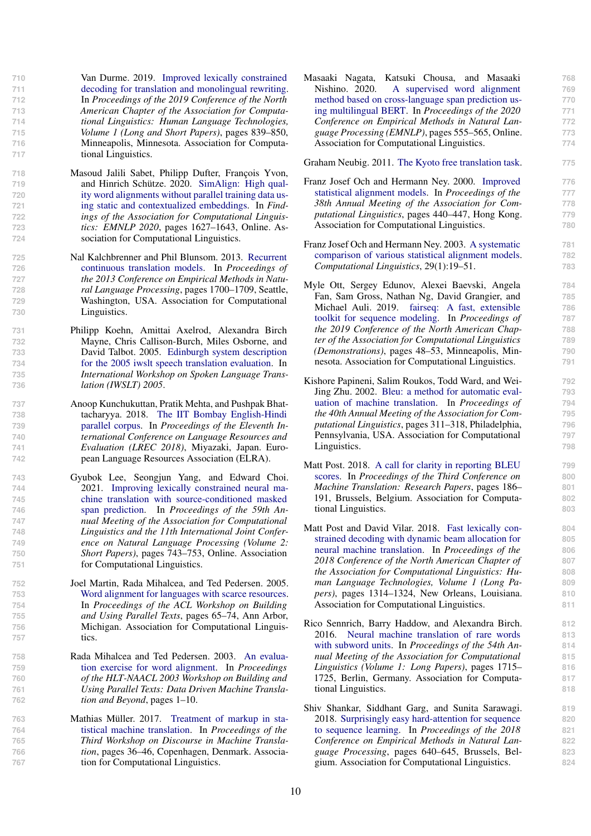Van Durme. 2019. [Improved lexically constrained](https://doi.org/10.18653/v1/N19-1090) [decoding for translation and monolingual rewriting.](https://doi.org/10.18653/v1/N19-1090) In *Proceedings of the 2019 Conference of the North American Chapter of the Association for Computa- tional Linguistics: Human Language Technologies, Volume 1 (Long and Short Papers)*, pages 839–850, Minneapolis, Minnesota. Association for Computa-tional Linguistics.

- <span id="page-9-2"></span>**718** Masoud Jalili Sabet, Philipp Dufter, François Yvon, **719** and Hinrich Schütze. 2020. [SimAlign: High qual-](https://doi.org/10.18653/v1/2020.findings-emnlp.147)**720** [ity word alignments without parallel training data us-](https://doi.org/10.18653/v1/2020.findings-emnlp.147)**721** [ing static and contextualized embeddings.](https://doi.org/10.18653/v1/2020.findings-emnlp.147) In *Find-***722** *ings of the Association for Computational Linguis-***723** *tics: EMNLP 2020*, pages 1627–1643, Online. As-**724** sociation for Computational Linguistics.
- <span id="page-9-0"></span>**725** [N](https://aclanthology.org/D13-1176)al Kalchbrenner and Phil Blunsom. 2013. [Recurrent](https://aclanthology.org/D13-1176) **726** [continuous translation models.](https://aclanthology.org/D13-1176) In *Proceedings of* **727** *the 2013 Conference on Empirical Methods in Natu-***728** *ral Language Processing*, pages 1700–1709, Seattle, **729** Washington, USA. Association for Computational **730** Linguistics.
- <span id="page-9-17"></span>**731** Philipp Koehn, Amittai Axelrod, Alexandra Birch **732** Mayne, Chris Callison-Burch, Miles Osborne, and **733** David Talbot. 2005. [Edinburgh system description](https://www.isca-speech.org/archive/iwslt_05/papers/slt5_068.pdf) **734** [for the 2005 iwslt speech translation evaluation.](https://www.isca-speech.org/archive/iwslt_05/papers/slt5_068.pdf) In **735** *International Workshop on Spoken Language Trans-***736** *lation (IWSLT) 2005*.
- <span id="page-9-14"></span>**737** Anoop Kunchukuttan, Pratik Mehta, and Pushpak Bhat-**738** tacharyya. 2018. [The IIT Bombay English-Hindi](https://aclanthology.org/L18-1548) **739** [parallel corpus.](https://aclanthology.org/L18-1548) In *Proceedings of the Eleventh In-***740** *ternational Conference on Language Resources and* **741** *Evaluation (LREC 2018)*, Miyazaki, Japan. Euro-**742** pean Language Resources Association (ELRA).
- <span id="page-9-11"></span>**743** Gyubok Lee, Seongjun Yang, and Edward Choi. **744** 2021. [Improving lexically constrained neural ma-](https://doi.org/10.18653/v1/2021.acl-short.94)**745** [chine translation with source-conditioned masked](https://doi.org/10.18653/v1/2021.acl-short.94) **746** [span prediction.](https://doi.org/10.18653/v1/2021.acl-short.94) In *Proceedings of the 59th An-***747** *nual Meeting of the Association for Computational* **748** *Linguistics and the 11th International Joint Confer-***749** *ence on Natural Language Processing (Volume 2:* **750** *Short Papers)*, pages 743–753, Online. Association **751** for Computational Linguistics.
- <span id="page-9-13"></span>**752** Joel Martin, Rada Mihalcea, and Ted Pedersen. 2005. **753** [Word alignment for languages with scarce resources.](https://aclanthology.org/W05-0809) **754** In *Proceedings of the ACL Workshop on Building* **755** *and Using Parallel Texts*, pages 65–74, Ann Arbor, **756** Michigan. Association for Computational Linguis-**757** tics.
- <span id="page-9-12"></span>**758** [R](https://aclanthology.org/W03-0301)ada Mihalcea and Ted Pedersen. 2003. [An evalua-](https://aclanthology.org/W03-0301)**759** [tion exercise for word alignment.](https://aclanthology.org/W03-0301) In *Proceedings* **760** *of the HLT-NAACL 2003 Workshop on Building and* **761** *Using Parallel Texts: Data Driven Machine Transla-***762** *tion and Beyond*, pages 1–10.
- <span id="page-9-3"></span>**763** [M](https://doi.org/10.18653/v1/W17-4804)athias Müller. 2017. [Treatment of markup in sta-](https://doi.org/10.18653/v1/W17-4804)**764** [tistical machine translation.](https://doi.org/10.18653/v1/W17-4804) In *Proceedings of the* **765** *Third Workshop on Discourse in Machine Transla-***766** *tion*, pages 36–46, Copenhagen, Denmark. Associa-**767** tion for Computational Linguistics.

<span id="page-9-10"></span>Masaaki Nagata, Katsuki Chousa, and Masaaki **768** Nishino. 2020. [A supervised word alignment](https://doi.org/10.18653/v1/2020.emnlp-main.41) **769** [method based on cross-language span prediction us-](https://doi.org/10.18653/v1/2020.emnlp-main.41) **770** [ing multilingual BERT.](https://doi.org/10.18653/v1/2020.emnlp-main.41) In *Proceedings of the 2020* **771** *Conference on Empirical Methods in Natural Lan-* **772** *guage Processing (EMNLP)*, pages 555–565, Online. **773** Association for Computational Linguistics. **774**

<span id="page-9-15"></span>Graham Neubig. 2011. [The Kyoto free translation task.](http://www.phontron.com/kftt) **775**

- <span id="page-9-7"></span>[F](https://doi.org/10.3115/1075218.1075274)ranz Josef Och and Hermann Ney. 2000. [Improved](https://doi.org/10.3115/1075218.1075274) **776** [statistical alignment models.](https://doi.org/10.3115/1075218.1075274) In *Proceedings of the* **777** *38th Annual Meeting of the Association for Com-* **778** *putational Linguistics*, pages 440–447, Hong Kong. **779** Association for Computational Linguistics. **780**
- <span id="page-9-1"></span>[F](https://doi.org/10.1162/089120103321337421)ranz Josef Och and Hermann Ney. 2003. [A systematic](https://doi.org/10.1162/089120103321337421) **781** [comparison of various statistical alignment models.](https://doi.org/10.1162/089120103321337421) **782** *Computational Linguistics*, 29(1):19–51. **783**
- <span id="page-9-5"></span>Myle Ott, Sergey Edunov, Alexei Baevski, Angela **784** Fan, Sam Gross, Nathan Ng, David Grangier, and **785** Michael Auli. 2019. [fairseq: A fast, extensible](https://doi.org/10.18653/v1/N19-4009) **786** [toolkit for sequence modeling.](https://doi.org/10.18653/v1/N19-4009) In *Proceedings of* **787** *the 2019 Conference of the North American Chap-* **788** *ter of the Association for Computational Linguistics* **789** *(Demonstrations)*, pages 48–53, Minneapolis, Min- **790** nesota. Association for Computational Linguistics. **791**
- <span id="page-9-8"></span>Kishore Papineni, Salim Roukos, Todd Ward, and Wei- **792** Jing Zhu. 2002. [Bleu: a method for automatic eval-](https://doi.org/10.3115/1073083.1073135) **793** [uation of machine translation.](https://doi.org/10.3115/1073083.1073135) In *Proceedings of* **794** *the 40th Annual Meeting of the Association for Com-* **795** *putational Linguistics*, pages 311–318, Philadelphia, **796** Pennsylvania, USA. Association for Computational **797** Linguistics. **798**
- <span id="page-9-16"></span>[M](https://doi.org/10.18653/v1/W18-6319)att Post. 2018. [A call for clarity in reporting BLEU](https://doi.org/10.18653/v1/W18-6319) **799** [scores.](https://doi.org/10.18653/v1/W18-6319) In *Proceedings of the Third Conference on* **800** *Machine Translation: Research Papers*, pages 186– **801** 191, Brussels, Belgium. Association for Computa- **802** tional Linguistics. **803**
- <span id="page-9-4"></span>[M](https://doi.org/10.18653/v1/N18-1119)att Post and David Vilar. 2018. [Fast lexically con-](https://doi.org/10.18653/v1/N18-1119) **804** [strained decoding with dynamic beam allocation for](https://doi.org/10.18653/v1/N18-1119) **805** [neural machine translation.](https://doi.org/10.18653/v1/N18-1119) In *Proceedings of the* **806** *2018 Conference of the North American Chapter of* **807** *the Association for Computational Linguistics: Hu-* **808** *man Language Technologies, Volume 1 (Long Pa-* **809** *pers)*, pages 1314–1324, New Orleans, Louisiana. **810** Association for Computational Linguistics. **811**
- <span id="page-9-6"></span>Rico Sennrich, Barry Haddow, and Alexandra Birch. **812** 2016. [Neural machine translation of rare words](https://doi.org/10.18653/v1/P16-1162) **813** [with subword units.](https://doi.org/10.18653/v1/P16-1162) In *Proceedings of the 54th An-* **814** *nual Meeting of the Association for Computational* **815** *Linguistics (Volume 1: Long Papers)*, pages 1715– **816** 1725, Berlin, Germany. Association for Computa- **817** tional Linguistics. **818**
- <span id="page-9-9"></span>Shiv Shankar, Siddhant Garg, and Sunita Sarawagi. **819** 2018. [Surprisingly easy hard-attention for sequence](https://doi.org/10.18653/v1/D18-1065) **820** [to sequence learning.](https://doi.org/10.18653/v1/D18-1065) In *Proceedings of the 2018* **821** *Conference on Empirical Methods in Natural Lan-* **822** *guage Processing*, pages 640–645, Brussels, Bel- **823** gium. Association for Computational Linguistics. **824**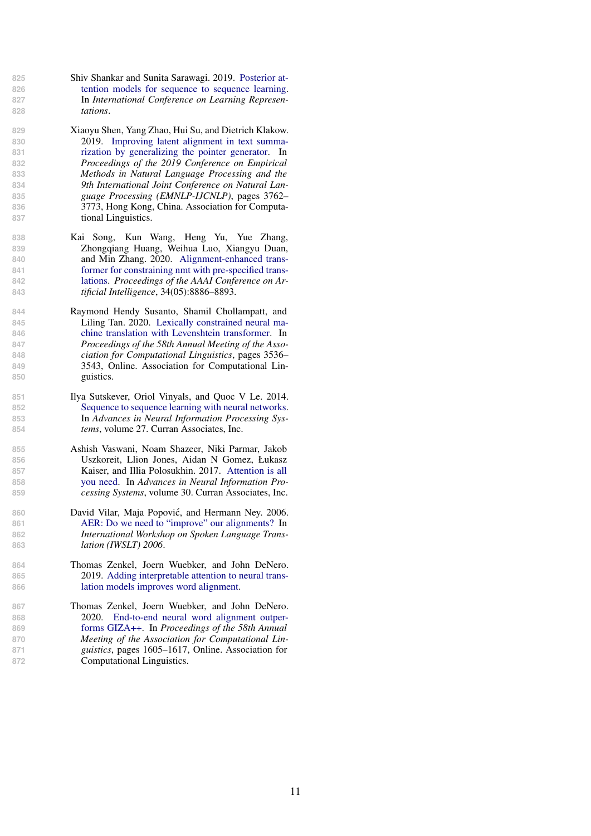- 
- 
- <span id="page-10-1"></span>
- 
- 
- 
- 
- 
- 
- 

- 
- 
- 
- 
- 

- 
- 
- 
- 

- <span id="page-10-3"></span> [S](https://openreview.net/forum?id=BkltNhC9FX)hiv Shankar and Sunita Sarawagi. 2019. [Posterior at-](https://openreview.net/forum?id=BkltNhC9FX) [tention models for sequence to sequence learning.](https://openreview.net/forum?id=BkltNhC9FX) In *International Conference on Learning Represen-tations*.
- Xiaoyu Shen, Yang Zhao, Hui Su, and Dietrich Klakow. 2019. [Improving latent alignment in text summa-](https://doi.org/10.18653/v1/D19-1390) [rization by generalizing the pointer generator.](https://doi.org/10.18653/v1/D19-1390) In *Proceedings of the 2019 Conference on Empirical Methods in Natural Language Processing and the 9th International Joint Conference on Natural Lan- guage Processing (EMNLP-IJCNLP)*, pages 3762– 3773, Hong Kong, China. Association for Computa-tional Linguistics.
- <span id="page-10-2"></span> Kai Song, Kun Wang, Heng Yu, Yue Zhang, Zhongqiang Huang, Weihua Luo, Xiangyu Duan, and Min Zhang. 2020. [Alignment-enhanced trans-](https://doi.org/10.1609/aaai.v34i05.6418) [former for constraining nmt with pre-specified trans-](https://doi.org/10.1609/aaai.v34i05.6418) [lations.](https://doi.org/10.1609/aaai.v34i05.6418) *Proceedings of the AAAI Conference on Ar-tificial Intelligence*, 34(05):8886–8893.
- <span id="page-10-7"></span> Raymond Hendy Susanto, Shamil Chollampatt, and Liling Tan. 2020. [Lexically constrained neural ma-](https://doi.org/10.18653/v1/2020.acl-main.325) [chine translation with Levenshtein transformer.](https://doi.org/10.18653/v1/2020.acl-main.325) In *Proceedings of the 58th Annual Meeting of the Asso- ciation for Computational Linguistics*, pages 3536– 3543, Online. Association for Computational Lin-guistics.
- <span id="page-10-0"></span> Ilya Sutskever, Oriol Vinyals, and Quoc V Le. 2014. [Sequence to sequence learning with neural networks.](https://proceedings.neurips.cc/paper/2014/file/a14ac55a4f27472c5d894ec1c3c743d2-Paper.pdf) In *Advances in Neural Information Processing Sys-tems*, volume 27. Curran Associates, Inc.
- <span id="page-10-4"></span> Ashish Vaswani, Noam Shazeer, Niki Parmar, Jakob Uszkoreit, Llion Jones, Aidan N Gomez, Łukasz Kaiser, and Illia Polosukhin. 2017. [Attention is all](https://proceedings.neurips.cc/paper/2017/file/3f5ee243547dee91fbd053c1c4a845aa-Paper.pdf) [you need.](https://proceedings.neurips.cc/paper/2017/file/3f5ee243547dee91fbd053c1c4a845aa-Paper.pdf) In *Advances in Neural Information Pro-cessing Systems*, volume 30. Curran Associates, Inc.
- <span id="page-10-8"></span> David Vilar, Maja Popovic, and Hermann Ney. 2006. ´ [AER: Do we need to "improve" our alignments?](https://www-i6.informatik.rwth-aachen.de/publications/download/277/Vilar-IWSLT-2006.pdf) In *International Workshop on Spoken Language Trans-lation (IWSLT) 2006*.
- <span id="page-10-5"></span> Thomas Zenkel, Joern Wuebker, and John DeNero. 2019. [Adding interpretable attention to neural trans-](http://arxiv.org/abs/1901.11359)[lation models improves word alignment.](http://arxiv.org/abs/1901.11359)
- <span id="page-10-6"></span> Thomas Zenkel, Joern Wuebker, and John DeNero. 2020. [End-to-end neural word alignment outper-](https://doi.org/10.18653/v1/2020.acl-main.146) [forms GIZA++.](https://doi.org/10.18653/v1/2020.acl-main.146) In *Proceedings of the 58th Annual Meeting of the Association for Computational Lin- guistics*, pages 1605–1617, Online. Association for Computational Linguistics.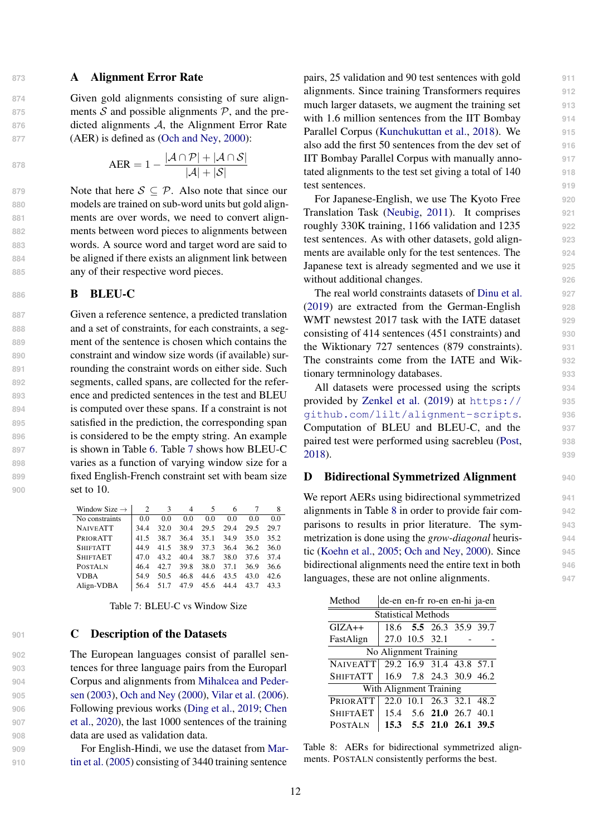# 873 **A Alignment Error Rate**

**874** Given gold alignments consisting of sure align-875 ments  $S$  and possible alignments  $P$ , and the pre-<br>876 dicted alignments  $A$ , the Alignment Error Rate dicted alignments A, the Alignment Error Rate **877** (AER) is defined as [\(Och and Ney,](#page-9-7) [2000\)](#page-9-7):

$$
AER = 1 - \frac{|\mathcal{A} \cap \mathcal{P}| + |\mathcal{A} \cap \mathcal{S}|}{|\mathcal{A}| + |\mathcal{S}|}
$$

**Note that here**  $S \subseteq P$ **. Also note that since our**  models are trained on sub-word units but gold align- ments are over words, we need to convert align- ments between word pieces to alignments between words. A source word and target word are said to be aligned if there exists an alignment link between any of their respective word pieces.

# 886 **B** BLEU-C

 Given a reference sentence, a predicted translation and a set of constraints, for each constraints, a seg- ment of the sentence is chosen which contains the constraint and window size words (if available) sur- rounding the constraint words on either side. Such segments, called spans, are collected for the refer- ence and predicted sentences in the test and BLEU is computed over these spans. If a constraint is not satisfied in the prediction, the corresponding span is considered to be the empty string. An example is shown in Table [6.](#page-12-3) Table [7](#page-11-2) shows how BLEU-C varies as a function of varying window size for a fixed English-French constraint set with beam size set to 10.

<span id="page-11-2"></span>

| Window Size $\rightarrow$ | 2    | $\mathcal{F}$ | 4    | 5    | 6    |      | 8    |
|---------------------------|------|---------------|------|------|------|------|------|
| No constraints            | 0.0  | 0.0           | 0.0  | 0.0  | 0.0  | 0.0  | 0.0  |
| <b>NAIVEATT</b>           | 34.4 | 32.0          | 30.4 | 29.5 | 29.4 | 29.5 | 29.7 |
| PRIORATT                  | 41.5 | 38.7          | 36.4 | 35.1 | 34.9 | 35.0 | 35.2 |
| <b>SHIFTATT</b>           | 44.9 | 41.5          | 38.9 | 37.3 | 36.4 | 36.2 | 36.0 |
| <b>SHIFTAET</b>           | 47.0 | 43.2          | 40.4 | 38.7 | 38.0 | 37.6 | 37.4 |
| <b>POSTALN</b>            | 46.4 | 42.7          | 39.8 | 38.0 | 37.1 | 36.9 | 36.6 |
| <b>VDBA</b>               | 54.9 | 50.5          | 46.8 | 44.6 | 43.5 | 43.0 | 42.6 |
| Align-VDBA                | 56.4 |               | 47 9 | 45.6 | 44.4 | 43.7 | 43.3 |

<span id="page-11-0"></span>Table 7: BLEU-C vs Window Size

## **901 C** Description of the Datasets

 The European languages consist of parallel sen- tences for three language pairs from the Europarl [C](#page-9-12)orpus and alignments from [Mihalcea and Peder-](#page-9-12) [sen](#page-9-12) [\(2003\)](#page-9-12), [Och and Ney](#page-9-7) [\(2000\)](#page-9-7), [Vilar et al.](#page-10-8) [\(2006\)](#page-10-8). [F](#page-8-7)ollowing previous works [\(Ding et al.,](#page-8-16) [2019;](#page-8-16) [Chen](#page-8-7) [et al.,](#page-8-7) [2020\)](#page-8-7), the last 1000 sentences of the training data are used as validation data.

**909** For English-Hindi, we use the dataset from [Mar-](#page-9-13)**910** [tin et al.](#page-9-13) [\(2005\)](#page-9-13) consisting of 3440 training sentence

pairs, 25 validation and 90 test sentences with gold **911** alignments. Since training Transformers requires **912** much larger datasets, we augment the training set **913** with 1.6 million sentences from the IIT Bombay 914 Parallel Corpus [\(Kunchukuttan et al.,](#page-9-14) [2018\)](#page-9-14). We **915** also add the first 50 sentences from the dev set of **916** IIT Bombay Parallel Corpus with manually anno- **917** tated alignments to the test set giving a total of 140 **918** test sentences. **919**

For Japanese-English, we use The Kyoto Free **920** Translation Task [\(Neubig,](#page-9-15) [2011\)](#page-9-15). It comprises **921** roughly 330K training, 1166 validation and 1235 **922** test sentences. As with other datasets, gold align- **923** ments are available only for the test sentences. The **924** Japanese text is already segmented and we use it **925** without additional changes.

The real world constraints datasets of [Dinu et al.](#page-8-14) **927** [\(2019\)](#page-8-14) are extracted from the German-English **928** WMT newstest 2017 task with the IATE dataset **929** consisting of 414 sentences (451 constraints) and **930** the Wiktionary 727 sentences (879 constraints). **931** The constraints come from the IATE and Wik- **932** tionary termninology databases. **933**

All datasets were processed using the scripts **934** [p](https://github.com/lilt/alignment-scripts)rovided by [Zenkel et al.](#page-10-5) [\(2019\)](#page-10-5) at [https://](https://github.com/lilt/alignment-scripts) **<sup>935</sup>** [github.com/lilt/alignment-scripts](https://github.com/lilt/alignment-scripts). **<sup>936</sup>** Computation of BLEU and BLEU-C, and the **937** paired test were performed using sacrebleu [\(Post,](#page-9-16) **938** [2018\)](#page-9-16). **939**

# <span id="page-11-1"></span>D Bidirectional Symmetrized Alignment **<sup>940</sup>**

We report AERs using bidirectional symmetrized **941** alignments in Table [8](#page-11-3) in order to provide fair com- **942** parisons to results in prior literature. The sym- **943** metrization is done using the *grow-diagonal* heuris- **944** tic [\(Koehn et al.,](#page-9-17) [2005;](#page-9-17) [Och and Ney,](#page-9-7) [2000\)](#page-9-7). Since **945** bidirectional alignments need the entire text in both **946** languages, these are not online alignments. **947**

<span id="page-11-3"></span>

| Method                     |                          | de-en en-fr ro-en en-hi ja-en |                          |  |  |  |  |  |  |  |
|----------------------------|--------------------------|-------------------------------|--------------------------|--|--|--|--|--|--|--|
| <b>Statistical Methods</b> |                          |                               |                          |  |  |  |  |  |  |  |
| $GIZA++$                   |                          |                               | 18.6 5.5 26.3 35.9 39.7  |  |  |  |  |  |  |  |
| FastAlign                  |                          | 27.0 10.5 32.1                |                          |  |  |  |  |  |  |  |
|                            | No Alignment Training    |                               |                          |  |  |  |  |  |  |  |
| <b>NAIVEATT</b>            | 29.2 16.9 31.4 43.8 57.1 |                               |                          |  |  |  |  |  |  |  |
| <b>SHIFTATT</b>            |                          |                               | 16.9 7.8 24.3 30.9 46.2  |  |  |  |  |  |  |  |
|                            | With Alignment Training  |                               |                          |  |  |  |  |  |  |  |
| PRIORATT                   |                          |                               | 22.0 10.1 26.3 32.1 48.2 |  |  |  |  |  |  |  |
| <b>SHIFTAET</b>            |                          |                               | 15.4 5.6 21.0 26.7 40.1  |  |  |  |  |  |  |  |
| <b>POSTALN</b>             |                          |                               | 15.3 5.5 21.0 26.1 39.5  |  |  |  |  |  |  |  |

Table 8: AERs for bidirectional symmetrized alignments. POSTALN consistently performs the best.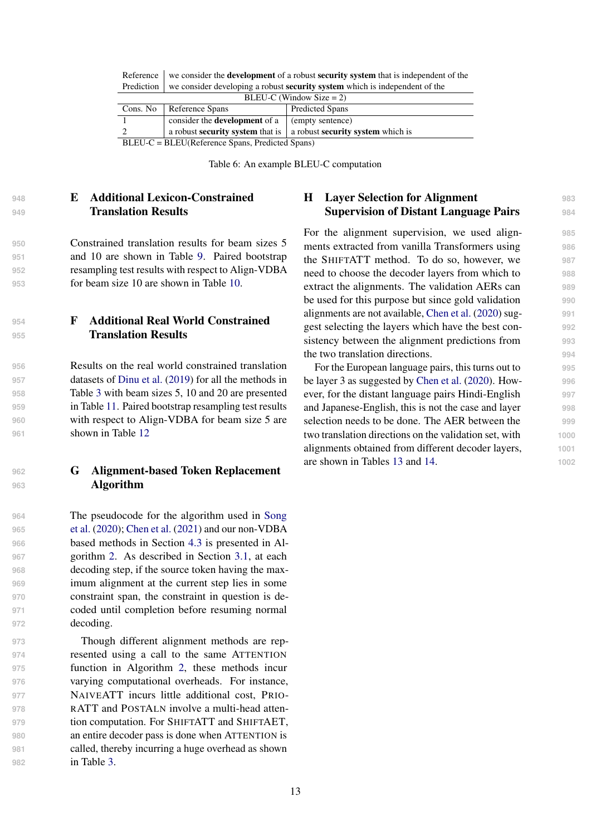<span id="page-12-3"></span>

|                                                      | $BLEU-C$ (Window Size = 2)                                                                                                                                                                                                  |  |  |  |  |  |  |  |  |  |  |
|------------------------------------------------------|-----------------------------------------------------------------------------------------------------------------------------------------------------------------------------------------------------------------------------|--|--|--|--|--|--|--|--|--|--|
| Cons. No   Reference Spans<br><b>Predicted Spans</b> |                                                                                                                                                                                                                             |  |  |  |  |  |  |  |  |  |  |
|                                                      | consider the <b>development</b> of a $\vert$ (empty sentence)                                                                                                                                                               |  |  |  |  |  |  |  |  |  |  |
|                                                      | a robust <b>security system</b> that is a robust <b>security system</b> which is                                                                                                                                            |  |  |  |  |  |  |  |  |  |  |
|                                                      | $RI$ $FI$ <sub>-C</sub> $- RI$ $FI$ <sup><math>(R</math></sup> $P$ $P$ <sub>rence</sub> $S$ $R$ <sub>3</sub> $R$ <sup><math>P</math></sup> $P$ <sub>rence</sub> $S$ $S$ <sub>13</sub> $R$ $S$ <sup><math>S</math></sup> $S$ |  |  |  |  |  |  |  |  |  |  |

| Reference $\parallel$ we consider the <b>development</b> of a robust <b>security system</b> that is independent of the |
|------------------------------------------------------------------------------------------------------------------------|
| Prediction $\vert$ we consider developing a robust <b>security system</b> which is independent of the                  |

BLEU-C = BLEU(Reference Spans, Predicted Spans)

Table 6: An example BLEU-C computation

# <span id="page-12-1"></span>**<sup>948</sup>** E Additional Lexicon-Constrained **949** Translation Results

 Constrained translation results for beam sizes 5 and 10 are shown in Table [9.](#page-13-0) Paired bootstrap resampling test results with respect to Align-VDBA for beam size 10 are shown in Table [10.](#page-13-1)

<span id="page-12-2"></span>**<sup>954</sup>** F Additional Real World Constrained **<sup>955</sup>** Translation Results

 Results on the real world constrained translation datasets of [Dinu et al.](#page-8-14) [\(2019\)](#page-8-14) for all the methods in Table [3](#page-6-1) with beam sizes 5, 10 and 20 are presented in Table [11.](#page-13-2) Paired bootstrap resampling test results with respect to Align-VDBA for beam size 5 are shown in Table [12](#page-14-0)

## <span id="page-12-0"></span>**<sup>962</sup>** G Alignment-based Token Replacement **<sup>963</sup>** Algorithm

 [T](#page-10-2)he pseudocode for the algorithm used in [Song](#page-10-2) [et al.](#page-10-2) [\(2020\)](#page-10-2); [Chen et al.](#page-8-9) [\(2021\)](#page-8-9) and our non-VDBA based methods in Section [4.3](#page-5-0) is presented in Al- gorithm [2.](#page-14-1) As described in Section [3.1,](#page-3-1) at each decoding step, if the source token having the max- imum alignment at the current step lies in some constraint span, the constraint in question is de- coded until completion before resuming normal decoding.

 Though different alignment methods are rep- resented using a call to the same ATTENTION function in Algorithm [2,](#page-14-1) these methods incur varying computational overheads. For instance, NAIVEATT incurs little additional cost, PRIO- RATT and POSTALN involve a multi-head atten- tion computation. For SHIFTATT and SHIFTAET, an entire decoder pass is done when ATTENTION is called, thereby incurring a huge overhead as shown in Table [3.](#page-6-1)

## H Layer Selection for Alignment **<sup>983</sup>** Supervision of Distant Language Pairs **<sup>984</sup>**

For the alignment supervision, we used alignments extracted from vanilla Transformers using **986** the SHIFTATT method. To do so, however, we **987** need to choose the decoder layers from which to **988** extract the alignments. The validation AERs can **989** be used for this purpose but since gold validation **990** alignments are not available, [Chen et al.](#page-8-7) [\(2020\)](#page-8-7) sug- **991** gest selecting the layers which have the best con- **992** sistency between the alignment predictions from **993** the two translation directions. **994**

For the European language pairs, this turns out to **995** be layer 3 as suggested by [Chen et al.](#page-8-7) [\(2020\)](#page-8-7). How- **996** ever, for the distant language pairs Hindi-English **997** and Japanese-English, this is not the case and layer **998** selection needs to be done. The AER between the **999** two translation directions on the validation set, with **1000** alignments obtained from different decoder layers, **1001** are shown in Tables [13](#page-15-0) and [14.](#page-15-1) **1002**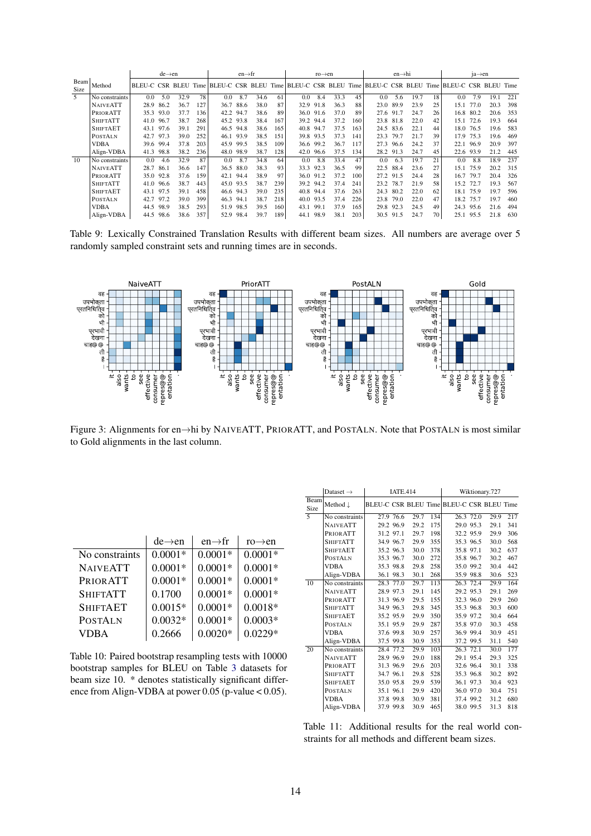<span id="page-13-0"></span>

|                     |                 |      | $de \rightarrow en$ |      |     |                                                                                                     | $en \rightarrow fr$ |      |     |      | $ro \rightarrow en$ |      |     |      | $en \rightarrow hi$ |      |    |      | $ia \rightarrow en$ |      |      |
|---------------------|-----------------|------|---------------------|------|-----|-----------------------------------------------------------------------------------------------------|---------------------|------|-----|------|---------------------|------|-----|------|---------------------|------|----|------|---------------------|------|------|
| Beam<br><b>Size</b> | Method          |      |                     |      |     | BLEU-C CSR BLEU Time BLEU-C CSR BLEU Time BLEU-C CSR BLEU Time BLEU-C CSR BLEU Time BLEU-C CSR BLEU |                     |      |     |      |                     |      |     |      |                     |      |    |      |                     |      | Time |
| 5                   | No constraints  | 0.0  | 5.0                 | 32.9 | 78  | 0.0                                                                                                 | 8.7                 | 34.6 | 61  | 0.0  | 8.4                 | 33.3 | 45  | 0.0  | 5.6                 | 19.7 | 18 | 0.0  | 7.9                 | 19.1 | 221  |
|                     | <b>NAIVEATT</b> | 28.9 | 86.2                | 36.7 | 127 | 36.7                                                                                                | 88.6                | 38.0 | 87  | 32.9 | 91.8                | 36.3 | 88  | 23.0 | 89.9                | 23.9 | 25 | 15.1 | 77.0                | 20.3 | 398  |
|                     | PRIORATT        | 35.3 | 93.0                | 37.7 | 136 | 42.2                                                                                                | 94.7                | 38.6 | 89  | 36.0 | 91.6                | 37.0 | 89  | 27.6 | 91.7                | 24.7 | 26 | 16.8 | 80.2                | 20.6 | 353  |
|                     | <b>SHIFTATT</b> | 41.0 | 96.7                | 38.7 | 268 | 45.2                                                                                                | 93.8                | 38.4 | 167 | 39.2 | 94.4                | 37.2 | 160 |      | 23.8 81.8           | 22.0 | 42 | 15.1 | 72.6                | 19.3 | 664  |
|                     | <b>SHIFTAET</b> | 43.1 | 97.6                | 39.1 | 291 |                                                                                                     | 46.5 94.8           | 38.6 | 165 | 40.8 | 94.7                | 37.5 | 163 |      | 24.5 83.6           | 22.1 | 44 | 18.0 | 76.5                | 19.6 | 583  |
|                     | <b>POSTALN</b>  | 42.7 | 97.3                | 39.0 | 252 |                                                                                                     | 46.1 93.9           | 38.5 | 151 | 39.8 | 93.5                | 37.3 | 141 | 23.3 | 79.7                | 21.7 | 39 | 17.9 | 75.3                | 19.6 | 469  |
|                     | <b>VDBA</b>     |      | 39.6 99.4           | 37.8 | 203 | 45.9                                                                                                | 99.5                | 38.5 | 109 | 36.6 | 99.2                | 36.7 | 117 | 27.3 | 96.6                | 24.2 | 37 | 22.1 | 96.9                | 20.9 | 397  |
|                     | Align-VDBA      | 41.3 | 98.8                | 38.2 | 236 |                                                                                                     | 48.0 98.9           | 38.7 | 128 | 42.0 | 96.6                | 37.5 | 134 |      | 28.2 91.3           | 24.7 | 45 | 22.6 | 93.9                | 21.2 | 445  |
| 10                  | No constraints  | 0.0  | 4.6                 | 32.9 | 87  | 0.0                                                                                                 | 8.7                 | 34.8 | 64  | 0.0  | 8.8                 | 33.4 | 47  | 0.0  | 6.3                 | 19.7 | 21 | 0.0  | 8.8                 | 18.9 | 237  |
|                     | <b>NAIVEATT</b> | 28.7 | 86.1                | 36.6 | 147 | 36.5                                                                                                | 88.0                | 38.3 | 93  | 33.3 | 92.3                | 36.5 | 99  | 22.5 | 88.4                | 23.6 | 27 | 15.1 | 75.9                | 20.2 | 315  |
|                     | PRIORATT        |      | 35.0 92.8           | 37.6 | 159 | 42.1                                                                                                | 94.4                | 38.9 | 97  | 36.0 | 91.2                | 37.2 | 100 |      | 27.2 91.5           | 24.4 | 28 | 16.7 | 79.7                | 20.4 | 326  |
|                     | <b>SHIFTATT</b> |      | 41.0 96.6           | 38.7 | 443 |                                                                                                     | 45.0 93.5           | 38.7 | 239 |      | 39.2 94.2           | 37.4 | 241 | 23.2 | 78.7                | 21.9 | 58 | 15.2 | 72.7                | 19.3 | 567  |
|                     | <b>SHIFTAET</b> |      | 43.1 97.5           | 39.1 | 458 |                                                                                                     | 46.6 94.3           | 39.0 | 235 | 40.8 | 94.4                | 37.6 | 263 | 24.3 | 80.2                | 22.0 | 62 | 18.1 | 75.9                | 19.7 | 596  |
|                     | <b>POSTALN</b>  | 42.7 | 97.2                | 39.0 | 399 | 46.3                                                                                                | 94.1                | 38.7 | 218 | 40.0 | 93.5                | 37.4 | 226 | 23.8 | 79.0                | 22.0 | 47 | 18.2 | 75.7                | 19.7 | 460  |
|                     | <b>VDBA</b>     | 44.5 | 98.9                | 38.5 | 293 | 51.9                                                                                                | 98.5                | 39.5 | 160 | 43.1 | 99.1                | 37.9 | 165 |      | 29.8 92.3           | 24.5 | 49 | 24.3 | 95.6                | 21.6 | 494  |
|                     | Align-VDBA      | 44.5 | 98.6                | 38.6 | 357 | 52.9                                                                                                | 98.4                | 39.7 | 189 | 44.1 | 98.9                | 38.1 | 203 | 30.5 | 91.5                | 24.7 | 70 | 25.1 | 95.5                | 21.8 | 630  |

Table 9: Lexically Constrained Translation Results with different beam sizes. All numbers are average over 5 randomly sampled constraint sets and running times are in seconds.



Figure 3: Alignments for en→hi by NAIVEATT, PRIORATT, and POSTALN. Note that POSTALN is most similar to Gold alignments in the last column.

<span id="page-13-1"></span>

|                 | $de \rightarrow en$ | $en \rightarrow fr$ | $ro \rightarrow en$ |
|-----------------|---------------------|---------------------|---------------------|
| No constraints  | $0.0001*$           | $0.0001*$           | $0.0001*$           |
| <b>NAIVEATT</b> | $0.0001*$           | $0.0001*$           | $0.0001*$           |
| <b>PRIORATT</b> | $0.0001*$           | $0.0001*$           | $0.0001*$           |
| <b>SHIFTATT</b> | 0.1700              | $0.0001*$           | $0.0001*$           |
| <b>SHIFTAET</b> | $0.0015*$           | $0.0001*$           | $0.0018*$           |
| <b>POSTALN</b>  | $0.0032*$           | $0.0001*$           | $0.0003*$           |
| <b>VDBA</b>     | 0.2666              | $0.0020*$           | $0.0229*$           |

Table 10: Paired bootstrap resampling tests with 10000 bootstrap samples for BLEU on Table [3](#page-6-1) datasets for beam size 10. \* denotes statistically significant difference from Align-VDBA at power 0.05 (p-value < 0.05).

<span id="page-13-2"></span>

|      | Dataset $\rightarrow$ | <b>IATE.414</b> |      | Wiktionary.727 |                                           |           |      |     |
|------|-----------------------|-----------------|------|----------------|-------------------------------------------|-----------|------|-----|
| Beam | Method $\downarrow$   |                 |      |                | BLEU-C CSR BLEU Time BLEU-C CSR BLEU Time |           |      |     |
| Size |                       |                 |      |                |                                           |           |      |     |
| 5    | No constraints        | 27.9 76.6       | 29.7 | 134            |                                           | 26.3 72.0 | 29.9 | 217 |
|      | <b>NAIVEATT</b>       | 29.2 96.9       | 29.2 | 175            |                                           | 29.0 95.3 | 29.1 | 341 |
|      | PRIORATT              | 31.2 97.1       | 29.7 | 198            |                                           | 32.2 95.9 | 29.9 | 306 |
|      | <b>SHIFTATT</b>       | 34.9 96.7       | 29.9 | 355            |                                           | 35.3 96.5 | 30.0 | 568 |
|      | <b>SHIFTAET</b>       | 35.2 96.3       | 30.0 | 378            |                                           | 35.8 97.1 | 30.2 | 637 |
|      | <b>POSTALN</b>        | 35.3 96.7       | 30.0 | 272            |                                           | 35.8 96.7 | 30.2 | 467 |
|      | <b>VDBA</b>           | 35.3 98.8       | 29.8 | 258            |                                           | 35.0 99.2 | 30.4 | 442 |
|      | Align-VDBA            | 36.1 98.3       | 30.1 | 268            |                                           | 35.9 98.8 | 30.6 | 523 |
| 10   | No constraints        | 28.3 77.0       | 29.7 | 113            |                                           | 26.3 72.4 | 29.9 | 164 |
|      | <b>NAIVEATT</b>       | 28.9 97.3       | 29.1 | 145            |                                           | 29.2 95.3 | 29.1 | 269 |
|      | PRIORATT              | 31.3 96.9       | 29.5 | 155            |                                           | 32.3 96.0 | 29.9 | 260 |
|      | <b>SHIFTATT</b>       | 34.9 96.3       | 29.8 | 345            |                                           | 35.3 96.8 | 30.3 | 600 |
|      | <b>SHIFTAET</b>       | 35.2 95.9       | 29.9 | 350            |                                           | 35.9 97.2 | 30.4 | 664 |
|      | <b>POSTALN</b>        | 35.1 95.9       | 29.9 | 287            |                                           | 35.8 97.0 | 30.3 | 458 |
|      | <b>VDBA</b>           | 37.6 99.8       | 30.9 | 257            |                                           | 36.9 99.4 | 30.9 | 451 |
|      | Align-VDBA            | 37.5 99.8       | 30.9 | 353            |                                           | 37.2 99.5 | 31.1 | 540 |
| 20   | No constraints        | 28.4 77.2       | 29.9 | 103            |                                           | 26.3 72.1 | 30.0 | 177 |
|      | <b>NAIVEATT</b>       | 28.9 96.9       | 29.0 | 188            |                                           | 29.1 95.4 | 29.3 | 325 |
|      | PRIORATT              | 31.3 96.9       | 29.6 | 203            |                                           | 32.6 96.4 | 30.1 | 338 |
|      | <b>SHIFTATT</b>       | 34.7 96.1       | 29.8 | 528            |                                           | 35.3 96.8 | 30.2 | 892 |
|      | <b>SHIFTAET</b>       | 35.0 95.8       | 29.9 | 539            |                                           | 36.1 97.3 | 30.4 | 923 |
|      | <b>POSTALN</b>        | 35.1 96.1       | 29.9 | 420            |                                           | 36.0 97.0 | 30.4 | 751 |
|      | <b>VDBA</b>           | 37.8 99.8       | 30.9 | 381            |                                           | 37.4 99.2 | 31.2 | 680 |
|      | Align-VDBA            | 37.9 99.8       | 30.9 | 465            |                                           | 38.0 99.5 | 31.3 | 818 |

Table 11: Additional results for the real world constraints for all methods and different beam sizes.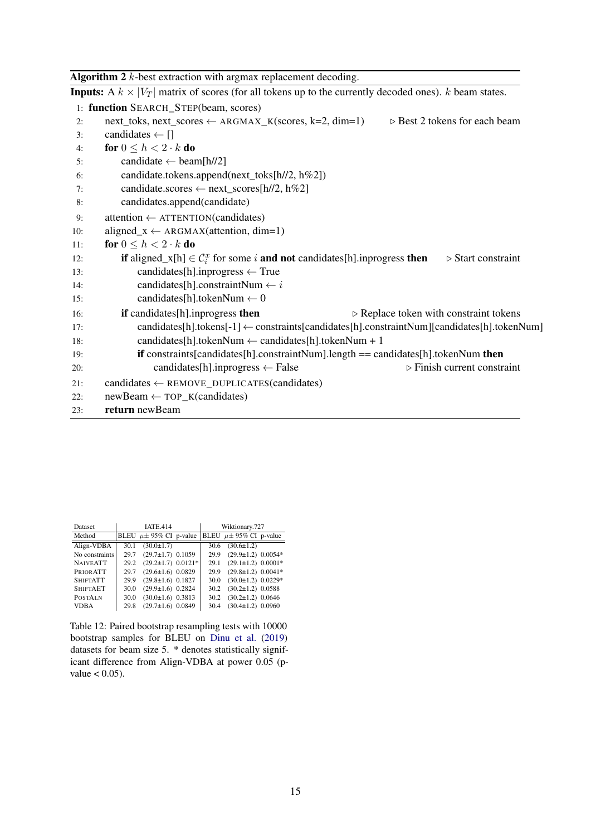<span id="page-14-1"></span>

|     | <b>Algorithm 2</b> $k$ -best extraction with argmax replacement decoding.                                                                     |
|-----|-----------------------------------------------------------------------------------------------------------------------------------------------|
|     | <b>Inputs:</b> A $k \times  V_T $ matrix of scores (for all tokens up to the currently decoded ones). k beam states.                          |
|     | 1: function SEARCH_STEP(beam, scores)                                                                                                         |
| 2:  | $\triangleright$ Best 2 tokens for each beam<br>$next\_toks$ , next_scores $\leftarrow$ ARGMAX_K(scores, k=2, dim=1)                          |
| 3:  | candidates $\leftarrow$ []                                                                                                                    |
| 4:  | for $0 \leq h < 2 \cdot k$ do                                                                                                                 |
| 5:  | candidate $\leftarrow$ beam[h//2]                                                                                                             |
| 6:  | candidate.tokens.append(next_toks[h//2, h%2])                                                                                                 |
| 7:  | candidate.scores $\leftarrow$ next_scores[h//2, h%2]                                                                                          |
| 8:  | candidates.append(candidate)                                                                                                                  |
| 9:  | $attention \leftarrow \text{ATTENTION}(candidates)$                                                                                           |
| 10: | aligned_ $x \leftarrow ARGMAX(attention, dim=1)$                                                                                              |
| 11: | for $0 \leq h < 2 \cdot k$ do                                                                                                                 |
| 12: | <b>if</b> aligned_x[h] $\in C_i^x$ for some <i>i</i> <b>and not</b> candidates[h].inprogress <b>then</b><br>$\triangleright$ Start constraint |
| 13: | candidates[h].inprogress $\leftarrow$ True                                                                                                    |
| 14: | candidates[h].constraintNum $\leftarrow i$                                                                                                    |
| 15: | candidates[h].tokenNum $\leftarrow 0$                                                                                                         |
| 16: | if candidates[h].inprogress then<br>$\triangleright$ Replace token with constraint tokens                                                     |
| 17: | candidates[h].tokens[-1] $\leftarrow$ constraints[candidates[h].constraintNum][candidates[h].tokenNum]                                        |
| 18: | candidates[h].tokenNum $\leftarrow$ candidates[h].tokenNum + 1                                                                                |
| 19: | if constraints[candidates[h].constraintNum].length == candidates[h].tokenNum then                                                             |
| 20: | $\triangleright$ Finish current constraint<br>candidates[h].inprogress $\leftarrow$ False                                                     |
| 21: | $candidates \leftarrow$ REMOVE_DUPLICATES(candidates)                                                                                         |
| 22: | $newBeam \leftarrow TOP_K(candidates)$                                                                                                        |
| 23: | return newBeam                                                                                                                                |

<span id="page-14-0"></span>

| <b>Dataset</b>  | <b>IATE.414</b> |                                |  | Wiktionary.727 |                                |  |  |
|-----------------|-----------------|--------------------------------|--|----------------|--------------------------------|--|--|
| Method          |                 | BLEU $\mu \pm 95\%$ CI p-value |  |                | BLEU $\mu \pm 95\%$ CI p-value |  |  |
| Align-VDBA      | 30.1            | $(30.0 \pm 1.7)$               |  | 30.6           | $(30.6 \pm 1.2)$               |  |  |
| No constraints  | 29.7            | $(29.7 \pm 1.7)$ 0.1059        |  | 29.9           | $(29.9 \pm 1.2)$ 0.0054*       |  |  |
| <b>NAIVEATT</b> | 29.2            | $(29.2 \pm 1.7)$ 0.0121*       |  | 29.1           | $(29.1 \pm 1.2)$ 0.0001*       |  |  |
| PRIOR ATT       | 29.7            | $(29.6 \pm 1.6)$ 0.0829        |  | 29.9           | $(29.8 \pm 1.2)$ 0.0041*       |  |  |
| <b>SHIFTATT</b> | 29.9            | $(29.8 \pm 1.6)$ 0.1827        |  | 30.0           | $(30.0 \pm 1.2)$ 0.0229*       |  |  |
| <b>SHIFTAET</b> | 30.0            | $(29.9 \pm 1.6)$ 0.2824        |  | 30.2           | $(30.2 \pm 1.2)$ 0.0588        |  |  |
| <b>POSTALN</b>  | 30.0            | $(30.0 \pm 1.6)$ 0.3813        |  | 30.2           | $(30.2 \pm 1.2)$ 0.0646        |  |  |
| <b>VDBA</b>     | 29.8            | $(29.7 \pm 1.6)$ 0.0849        |  | 30.4           | $(30.4 \pm 1.2)$ 0.0960        |  |  |

Table 12: Paired bootstrap resampling tests with 10000 bootstrap samples for BLEU on [Dinu et al.](#page-8-14) [\(2019\)](#page-8-14) datasets for beam size 5. \* denotes statistically significant difference from Align-VDBA at power 0.05 (pvalue  $< 0.05$ ).